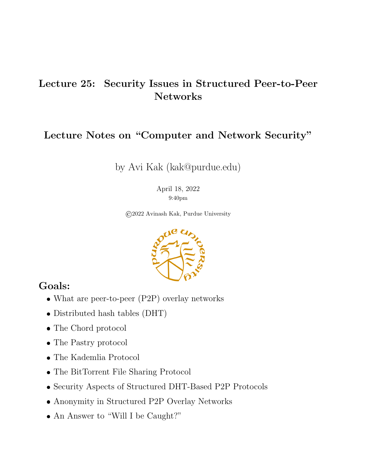## Lecture 25: Security Issues in Structured Peer-to-Peer Networks

## Lecture Notes on "Computer and Network Security"

by Avi Kak (kak@purdue.edu)

April 18, 2022 9:40pm

©2022 Avinash Kak, Purdue University



## Goals:

- What are peer-to-peer (P2P) overlay networks
- Distributed hash tables (DHT)
- The Chord protocol
- The Pastry protocol
- The Kademlia Protocol
- The BitTorrent File Sharing Protocol
- Security Aspects of Structured DHT-Based P2P Protocols
- Anonymity in Structured P2P Overlay Networks
- An Answer to "Will I be Caught?"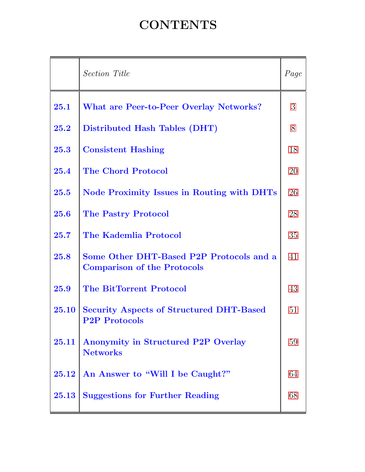## **CONTENTS**

<span id="page-1-0"></span>

|       | Section Title                                                                  | Page |
|-------|--------------------------------------------------------------------------------|------|
| 25.1  | What are Peer-to-Peer Overlay Networks?                                        | 3    |
| 25.2  | Distributed Hash Tables (DHT)                                                  | 8    |
| 25.3  | <b>Consistent Hashing</b>                                                      | 18   |
| 25.4  | <b>The Chord Protocol</b>                                                      | 20   |
| 25.5  | Node Proximity Issues in Routing with DHTs                                     | 26   |
| 25.6  | <b>The Pastry Protocol</b>                                                     | 28   |
| 25.7  | The Kademlia Protocol                                                          | 35   |
| 25.8  | Some Other DHT-Based P2P Protocols and a<br><b>Comparison of the Protocols</b> | 41   |
| 25.9  | <b>The BitTorrent Protocol</b>                                                 | 43   |
| 25.10 | <b>Security Aspects of Structured DHT-Based</b><br><b>P2P Protocols</b>        | 51   |
| 25.11 | Anonymity in Structured P2P Overlay<br><b>Networks</b>                         | 59   |
| 25.12 | An Answer to "Will I be Caught?"                                               | 64   |
| 25.13 | <b>Suggestions for Further Reading</b>                                         | 68   |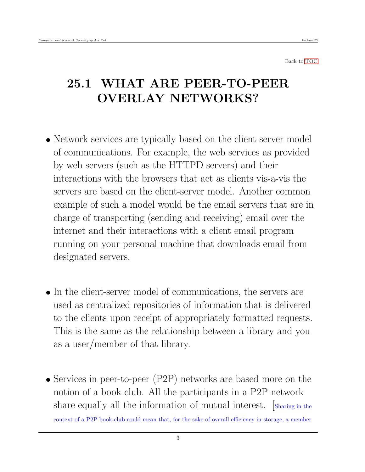## <span id="page-2-0"></span>25.1 WHAT ARE PEER-TO-PEER OVERLAY NETWORKS?

- Network services are typically based on the client-server model of communications. For example, the web services as provided by web servers (such as the HTTPD servers) and their interactions with the browsers that act as clients vis-a-vis the servers are based on the client-server model. Another common example of such a model would be the email servers that are in charge of transporting (sending and receiving) email over the internet and their interactions with a client email program running on your personal machine that downloads email from designated servers.
- In the client-server model of communications, the servers are used as centralized repositories of information that is delivered to the clients upon receipt of appropriately formatted requests. This is the same as the relationship between a library and you as a user/member of that library.
- Services in peer-to-peer (P2P) networks are based more on the notion of a book club. All the participants in a P2P network share equally all the information of mutual interest. [Sharing in the context of a P2P book-club could mean that, for the sake of overall efficiency in storage, a member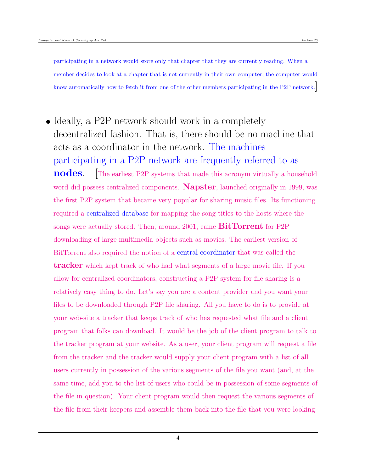participating in a network would store only that chapter that they are currently reading. When a member decides to look at a chapter that is not currently in their own computer, the computer would know automatically how to fetch it from one of the other members participating in the P2P network.

• Ideally, a P2P network should work in a completely decentralized fashion. That is, there should be no machine that acts as a coordinator in the network. The machines participating in a P2P network are frequently referred to as **nodes.** The earliest P2P systems that made this acronym virtually a household word did possess centralized components. **Napster**, launched originally in 1999, was the first P2P system that became very popular for sharing music files. Its functioning required a centralized database for mapping the song titles to the hosts where the songs were actually stored. Then, around 2001, came  $BitTorrent$  for P2P downloading of large multimedia objects such as movies. The earliest version of BitTorrent also required the notion of a central coordinator that was called the **tracker** which kept track of who had what segments of a large movie file. If you allow for centralized coordinators, constructing a P2P system for file sharing is a relatively easy thing to do. Let's say you are a content provider and you want your files to be downloaded through P2P file sharing. All you have to do is to provide at your web-site a tracker that keeps track of who has requested what file and a client program that folks can download. It would be the job of the client program to talk to the tracker program at your website. As a user, your client program will request a file from the tracker and the tracker would supply your client program with a list of all users currently in possession of the various segments of the file you want (and, at the same time, add you to the list of users who could be in possession of some segments of the file in question). Your client program would then request the various segments of the file from their keepers and assemble them back into the file that you were looking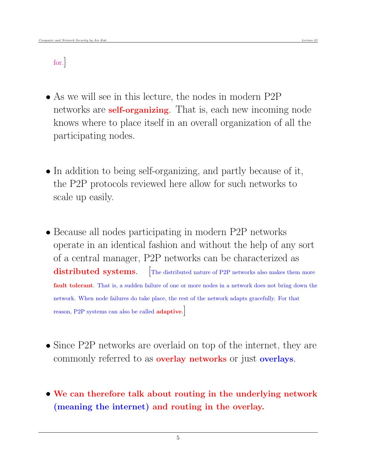### for.]

- As we will see in this lecture, the nodes in modern P2P networks are **self-organizing**. That is, each new incoming node knows where to place itself in an overall organization of all the participating nodes.
- In addition to being self-organizing, and partly because of it, the P2P protocols reviewed here allow for such networks to scale up easily.
- Because all nodes participating in modern P2P networks operate in an identical fashion and without the help of any sort of a central manager, P2P networks can be characterized as distributed systems. [The distributed nature of P2P networks also makes them more fault tolerant. That is, a sudden failure of one or more nodes in a network does not bring down the network. When node failures do take place, the rest of the network adapts gracefully. For that reason, P2P systems can also be called adaptive.]
- Since P2P networks are overlaid on top of the internet, they are commonly referred to as **overlay networks** or just **overlays**.
- We can therefore talk about routing in the underlying network (meaning the internet) and routing in the overlay.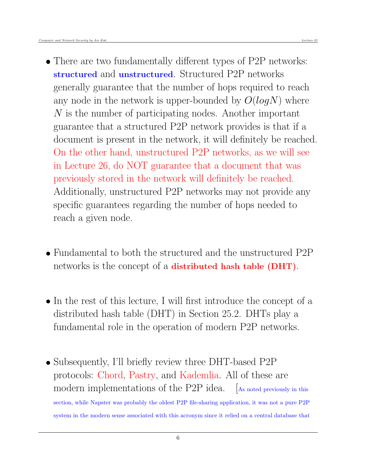- There are two fundamentally different types of P2P networks: structured and unstructured. Structured P2P networks generally guarantee that the number of hops required to reach any node in the network is upper-bounded by  $O(logN)$  where N is the number of participating nodes. Another important guarantee that a structured P2P network provides is that if a document is present in the network, it will definitely be reached. On the other hand, unstructured P2P networks, as we will see in Lecture 26, do NOT guarantee that a document that was previously stored in the network will definitely be reached. Additionally, unstructured P2P networks may not provide any specific guarantees regarding the number of hops needed to reach a given node.
- Fundamental to both the structured and the unstructured P2P networks is the concept of a distributed hash table (DHT).
- In the rest of this lecture, I will first introduce the concept of a distributed hash table (DHT) in Section 25.2. DHTs play a fundamental role in the operation of modern P2P networks.
- Subsequently, I'll briefly review three DHT-based P2P protocols: Chord, Pastry, and Kademlia. All of these are modern implementations of the P2P idea. [As noted previously in this section, while Napster was probably the oldest P2P file-sharing application, it was not a pure P2P system in the modern sense associated with this acronym since it relied on a central database that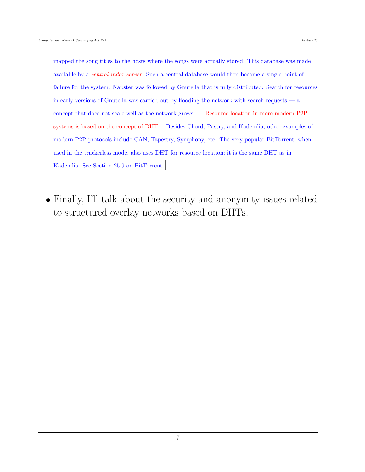mapped the song titles to the hosts where the songs were actually stored. This database was made available by a *central index server*. Such a central database would then become a single point of failure for the system. Napster was followed by Gnutella that is fully distributed. Search for resources in early versions of Gnutella was carried out by flooding the network with search requests — a concept that does not scale well as the network grows. Resource location in more modern P2P systems is based on the concept of DHT. Besides Chord, Pastry, and Kademlia, other examples of modern P2P protocols include CAN, Tapestry, Symphony, etc. The very popular BitTorrent, when used in the trackerless mode, also uses DHT for resource location; it is the same DHT as in Kademlia. See Section 25.9 on BitTorrent.]

 Finally, I'll talk about the security and anonymity issues related to structured overlay networks based on DHTs.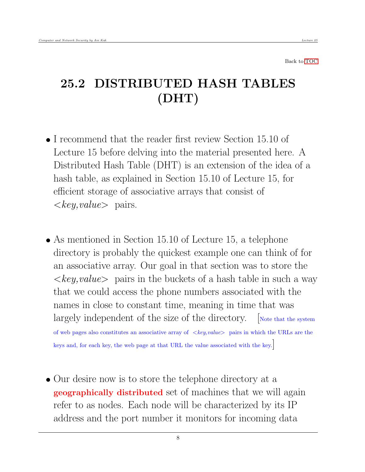# <span id="page-7-0"></span>25.2 DISTRIBUTED HASH TABLES (DHT)

- I recommend that the reader first review Section 15.10 of Lecture 15 before delving into the material presented here. A Distributed Hash Table (DHT) is an extension of the idea of a hash table, as explained in Section 15.10 of Lecture 15, for efficient storage of associative arrays that consist of  $\langle key, value \rangle$  pairs.
- As mentioned in Section 15.10 of Lecture 15, a telephone directory is probably the quickest example one can think of for an associative array. Our goal in that section was to store the  $\langle key, value \rangle$  pairs in the buckets of a hash table in such a way that we could access the phone numbers associated with the names in close to constant time, meaning in time that was largely independent of the size of the directory.  $\Box$  Note that the system of web pages also constitutes an associative array of  $\langle key, value \rangle$  pairs in which the URLs are the keys and, for each key, the web page at that URL the value associated with the key.]
- Our desire now is to store the telephone directory at a geographically distributed set of machines that we will again refer to as nodes. Each node will be characterized by its IP address and the port number it monitors for incoming data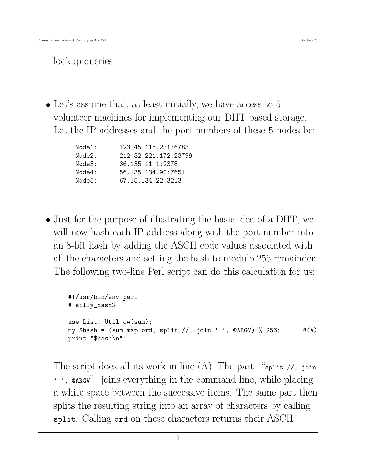lookup queries.

• Let's assume that, at least initially, we have access to 5 volunteer machines for implementing our DHT based storage. Let the IP addresses and the port numbers of these 5 nodes be:

| Node1: | 123.45.118.231:6783  |
|--------|----------------------|
| Node2: | 212.32.221.172:23799 |
| Node3: | 86.135.11.1:2378     |
| Node4: | 56.135.134.90:7651   |
| Node5: | 67.15.134.22:3213    |

 Just for the purpose of illustrating the basic idea of a DHT, we will now hash each IP address along with the port number into an 8-bit hash by adding the ASCII code values associated with all the characters and setting the hash to modulo 256 remainder. The following two-line Perl script can do this calculation for us:

```
#!/usr/bin/env perl
# silly_hash2
use List::Util qw(sum);
my $hash = (sum map ord, split //, join ' ', @ARGV) % 256; \#(A)print "$hash\n";
```
The script does all its work in line  $(A)$ . The part "split //, join" ' ', @ARGV" joins everything in the command line, while placing a white space between the successive items. The same part then splits the resulting string into an array of characters by calling split. Calling ord on these characters returns their ASCII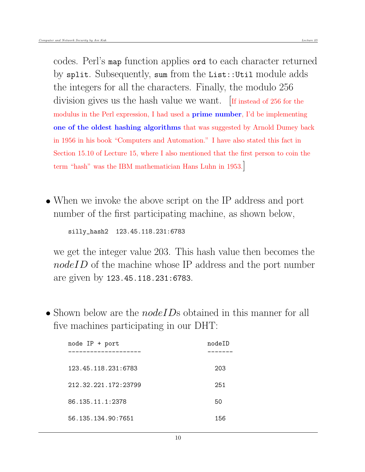codes. Perl's map function applies ord to each character returned by split. Subsequently, sum from the List::Util module adds the integers for all the characters. Finally, the modulo 256 division gives us the hash value we want. If instead of 256 for the modulus in the Perl expression, I had used a **prime number**, I'd be implementing one of the oldest hashing algorithms that was suggested by Arnold Dumey back in 1956 in his book "Computers and Automation." I have also stated this fact in Section 15.10 of Lecture 15, where I also mentioned that the first person to coin the term "hash" was the IBM mathematician Hans Luhn in 1953.]

 When we invoke the above script on the IP address and port number of the first participating machine, as shown below,

silly\_hash2 123.45.118.231:6783

we get the integer value 203. This hash value then becomes the nodeID of the machine whose IP address and the port number are given by 123.45.118.231:6783.

 $\bullet$  Shown below are the *nodeIDs* obtained in this manner for all five machines participating in our DHT:

| node $IP + port$     | nodeID |
|----------------------|--------|
|                      |        |
| 123.45.118.231:6783  | 203    |
| 212.32.221.172:23799 | 251    |
| 86.135.11.1:2378     | 50     |
| 56.135.134.90:7651   | 156    |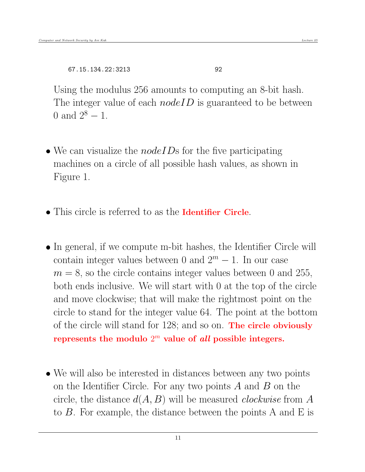67.15.134.22:3213 92

Using the modulus 256 amounts to computing an 8-bit hash. The integer value of each  $nodeID$  is guaranteed to be between 0 and  $2^8 - 1$ .

- $\bullet$  We can visualize the *nodeIDs* for the five participating machines on a circle of all possible hash values, as shown in Figure 1.
- This circle is referred to as the **Identifier Circle**.
- In general, if we compute m-bit hashes, the Identifier Circle will contain integer values between 0 and  $2^m - 1$ . In our case  $m = 8$ , so the circle contains integer values between 0 and 255, both ends inclusive. We will start with 0 at the top of the circle and move clockwise; that will make the rightmost point on the circle to stand for the integer value 64. The point at the bottom of the circle will stand for 128; and so on. The circle obviously represents the modulo  $2^m$  value of all possible integers.
- We will also be interested in distances between any two points on the Identifier Circle. For any two points  $A$  and  $B$  on the circle, the distance  $d(A, B)$  will be measured *clockwise* from A to B. For example, the distance between the points A and E is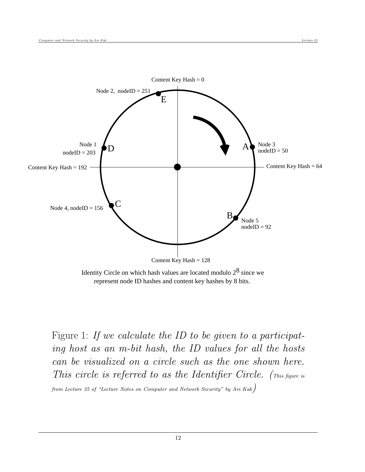

Identity Circle on which hash values are located modulo  $2^8$  since we represent node ID hashes and content key hashes by 8 bits.

Figure 1: If we calculate the ID to be given to a participating host as an m-bit hash, the ID values for all the hosts can be visualized on a circle such as the one shown here. This circle is referred to as the Identifier Circle. (This figure is

from Lecture 25 of "Lecture Notes on Computer and Network Security" by Avi Kak)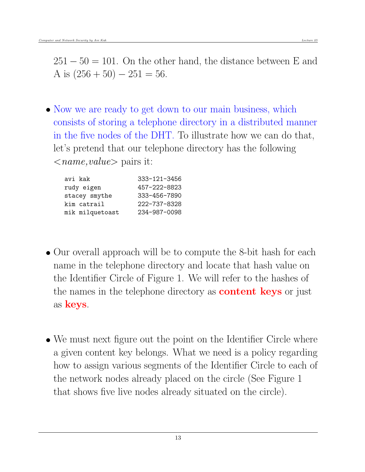$251 - 50 = 101$ . On the other hand, the distance between E and A is  $(256 + 50) - 251 = 56$ .

• Now we are ready to get down to our main business, which consists of storing a telephone directory in a distributed manner in the five nodes of the DHT. To illustrate how we can do that, let's pretend that our telephone directory has the following  $\langle$ *name,value* $>$  pairs it:

| avi kak         | 333-121-3456 |
|-----------------|--------------|
| rudy eigen      | 457-222-8823 |
| stacey smythe   | 333-456-7890 |
| kim catrail     | 222-737-8328 |
| mik milquetoast | 234-987-0098 |
|                 |              |

- Our overall approach will be to compute the 8-bit hash for each name in the telephone directory and locate that hash value on the Identifier Circle of Figure 1. We will refer to the hashes of the names in the telephone directory as **content keys** or just as keys.
- We must next figure out the point on the Identifier Circle where a given content key belongs. What we need is a policy regarding how to assign various segments of the Identifier Circle to each of the network nodes already placed on the circle (See Figure 1 that shows five live nodes already situated on the circle).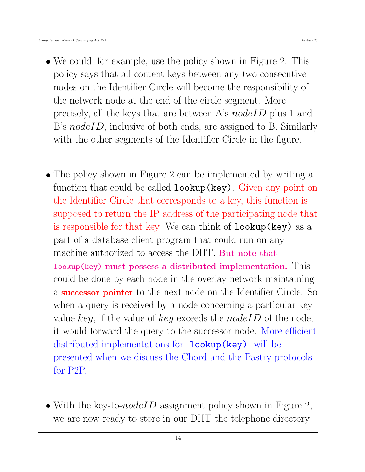- We could, for example, use the policy shown in Figure 2. This policy says that all content keys between any two consecutive nodes on the Identifier Circle will become the responsibility of the network node at the end of the circle segment. More precisely, all the keys that are between A's nodeID plus 1 and B's *nodeID*, inclusive of both ends, are assigned to B. Similarly with the other segments of the Identifier Circle in the figure.
- The policy shown in Figure 2 can be implemented by writing a function that could be called **lookup** (key). Given any point on the Identifier Circle that corresponds to a key, this function is supposed to return the IP address of the participating node that is responsible for that key. We can think of lookup(key) as a part of a database client program that could run on any machine authorized to access the DHT. But note that lookup(key) must possess a distributed implementation. This could be done by each node in the overlay network maintaining a successor pointer to the next node on the Identifier Circle. So when a query is received by a node concerning a particular key value key, if the value of key exceeds the node ID of the node, it would forward the query to the successor node. More efficient distributed implementations for **lookup(key)** will be presented when we discuss the Chord and the Pastry protocols for P2P.
- With the key-to- $nodeID$  assignment policy shown in Figure 2, we are now ready to store in our DHT the telephone directory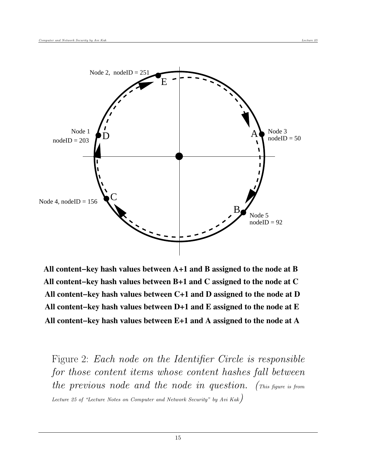

**All content−key hash values between A+1 and B assigned to the node at B All content−key hash values between B+1 and C assigned to the node at C All content−key hash values between C+1 and D assigned to the node at D All content−key hash values between D+1 and E assigned to the node at E All content−key hash values between E+1 and A assigned to the node at A**

Figure 2: Each node on the Identifier Circle is responsible for those content items whose content hashes fall between the previous node and the node in question. (This figure is from Lecture 25 of "Lecture Notes on Computer and Network Security" by Avi Kak)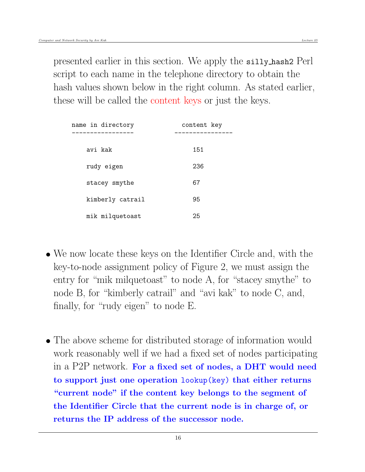presented earlier in this section. We apply the silly hash2 Perl script to each name in the telephone directory to obtain the hash values shown below in the right column. As stated earlier, these will be called the content keys or just the keys.

| name in directory<br>------------- | content key<br>________ |
|------------------------------------|-------------------------|
| avi kak                            | 151                     |
| rudy eigen                         | 236                     |
| stacey smythe                      | 67                      |
| kimberly catrail                   | 95                      |
| mik milquetoast                    | 25                      |

- We now locate these keys on the Identifier Circle and, with the key-to-node assignment policy of Figure 2, we must assign the entry for "mik milquetoast" to node A, for "stacey smythe" to node B, for "kimberly catrail" and "avi kak" to node C, and, finally, for "rudy eigen" to node E.
- The above scheme for distributed storage of information would work reasonably well if we had a fixed set of nodes participating in a P2P network. For a fixed set of nodes, a DHT would need to support just one operation lookup(key) that either returns "current node" if the content key belongs to the segment of the Identifier Circle that the current node is in charge of, or returns the IP address of the successor node.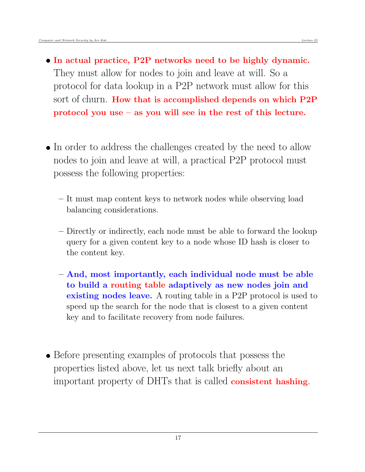- In actual practice, P2P networks need to be highly dynamic. They must allow for nodes to join and leave at will. So a protocol for data lookup in a P2P network must allow for this sort of churn. How that is accomplished depends on which P2P protocol you use – as you will see in the rest of this lecture.
- In order to address the challenges created by the need to allow nodes to join and leave at will, a practical P2P protocol must possess the following properties:
	- It must map content keys to network nodes while observing load balancing considerations.
	- Directly or indirectly, each node must be able to forward the lookup query for a given content key to a node whose ID hash is closer to the content key.
	- And, most importantly, each individual node must be able to build a routing table adaptively as new nodes join and existing nodes leave. A routing table in a P2P protocol is used to speed up the search for the node that is closest to a given content key and to facilitate recovery from node failures.
- Before presenting examples of protocols that possess the properties listed above, let us next talk briefly about an important property of DHTs that is called consistent hashing.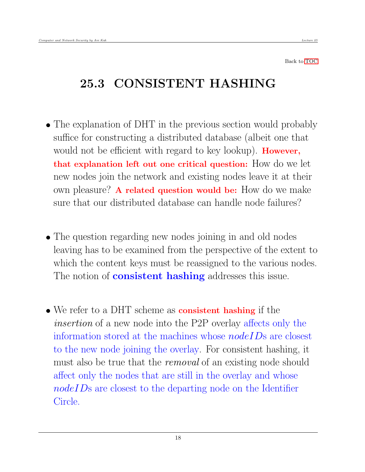## <span id="page-17-0"></span>25.3 CONSISTENT HASHING

- The explanation of DHT in the previous section would probably suffice for constructing a distributed database (albeit one that would not be efficient with regard to key lookup). **However**, that explanation left out one critical question: How do we let new nodes join the network and existing nodes leave it at their own pleasure? A related question would be: How do we make sure that our distributed database can handle node failures?
- The question regarding new nodes joining in and old nodes leaving has to be examined from the perspective of the extent to which the content keys must be reassigned to the various nodes. The notion of **consistent hashing** addresses this issue.
- We refer to a DHT scheme as **consistent hashing** if the insertion of a new node into the P2P overlay affects only the information stored at the machines whose  $nodeIDs$  are closest to the new node joining the overlay. For consistent hashing, it must also be true that the *removal* of an existing node should affect only the nodes that are still in the overlay and whose nodeIDs are closest to the departing node on the Identifier Circle.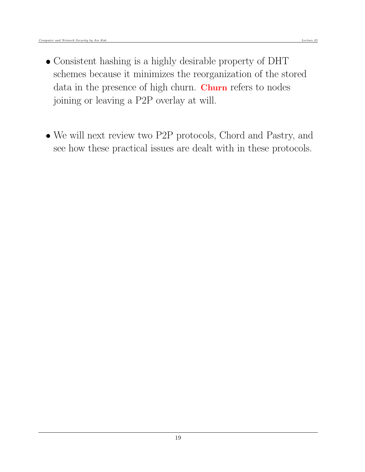- Consistent hashing is a highly desirable property of DHT schemes because it minimizes the reorganization of the stored data in the presence of high churn. Churn refers to nodes joining or leaving a P2P overlay at will.
- We will next review two P2P protocols, Chord and Pastry, and see how these practical issues are dealt with in these protocols.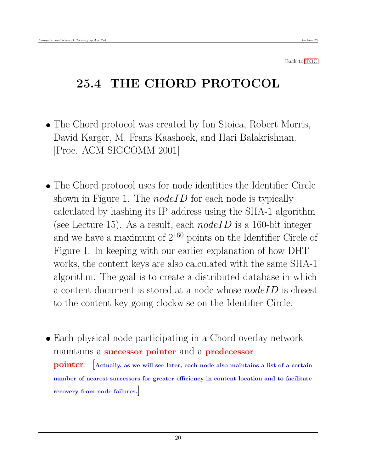# <span id="page-19-0"></span>25.4 THE CHORD PROTOCOL

- The Chord protocol was created by Ion Stoica, Robert Morris, David Karger, M. Frans Kaashoek, and Hari Balakrishnan. [Proc. ACM SIGCOMM 2001]
- The Chord protocol uses for node identities the Identifier Circle shown in Figure 1. The  $nodeID$  for each node is typically calculated by hashing its IP address using the SHA-1 algorithm (see Lecture 15). As a result, each  $nodeID$  is a 160-bit integer and we have a maximum of  $2^{160}$  points on the Identifier Circle of Figure 1. In keeping with our earlier explanation of how DHT works, the content keys are also calculated with the same SHA-1 algorithm. The goal is to create a distributed database in which a content document is stored at a node whose  $nodeID$  is closest to the content key going clockwise on the Identifier Circle.
- Each physical node participating in a Chord overlay network maintains a successor pointer and a predecessor pointer. [Actually, as we will see later, each node also maintains a list of a certain number of nearest successors for greater efficiency in content location and to facilitate recovery from node failures.]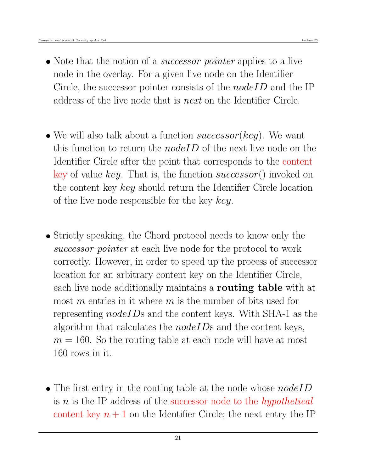- Note that the notion of a *successor pointer* applies to a live node in the overlay. For a given live node on the Identifier Circle, the successor pointer consists of the *nodeID* and the IP address of the live node that is next on the Identifier Circle.
- We will also talk about a function successor(key). We want this function to return the *nodeID* of the next live node on the Identifier Circle after the point that corresponds to the content key of value key. That is, the function successor() invoked on the content key key should return the Identifier Circle location of the live node responsible for the key key.
- Strictly speaking, the Chord protocol needs to know only the successor pointer at each live node for the protocol to work correctly. However, in order to speed up the process of successor location for an arbitrary content key on the Identifier Circle, each live node additionally maintains a **routing table** with at most m entries in it where m is the number of bits used for representing  $nodeIDs$  and the content keys. With SHA-1 as the algorithm that calculates the  $nodeIDs$  and the content keys,  $m = 160$ . So the routing table at each node will have at most 160 rows in it.
- The first entry in the routing table at the node whose  $nodeID$ is  $n$  is the IP address of the successor node to the *hypothetical* content key  $n + 1$  on the Identifier Circle; the next entry the IP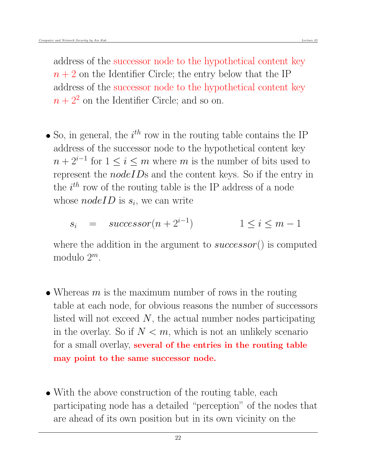address of the successor node to the hypothetical content key  $n + 2$  on the Identifier Circle; the entry below that the IP address of the successor node to the hypothetical content key  $n+2^2$  on the Identifier Circle; and so on.

• So, in general, the  $i^{th}$  row in the routing table contains the IP address of the successor node to the hypothetical content key  $n + 2^{i-1}$  for  $1 \leq i \leq m$  where m is the number of bits used to represent the *nodeIDs* and the content keys. So if the entry in the  $i^{th}$  row of the routing table is the IP address of a node whose  $nodeID$  is  $s_i$ , we can write

$$
s_i = successor(n+2^{i-1}) \qquad 1 \le i \le m-1
$$

where the addition in the argument to  $successor()$  is computed modulo  $2^m$ .

- Whereas  $m$  is the maximum number of rows in the routing table at each node, for obvious reasons the number of successors listed will not exceed  $N$ , the actual number nodes participating in the overlay. So if  $N < m$ , which is not an unlikely scenario for a small overlay, several of the entries in the routing table may point to the same successor node.
- With the above construction of the routing table, each participating node has a detailed "perception" of the nodes that are ahead of its own position but in its own vicinity on the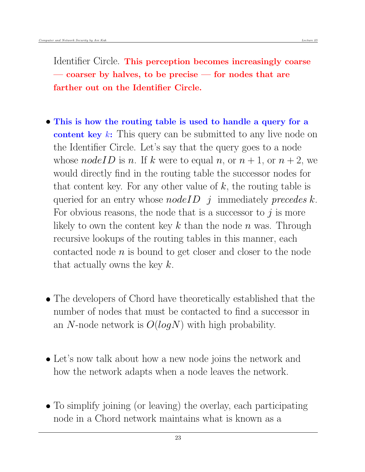Identifier Circle. This perception becomes increasingly coarse — coarser by halves, to be precise — for nodes that are farther out on the Identifier Circle.

- This is how the routing table is used to handle a query for a content key k: This query can be submitted to any live node on the Identifier Circle. Let's say that the query goes to a node whose nodeID is n. If k were to equal n, or  $n + 1$ , or  $n + 2$ , we would directly find in the routing table the successor nodes for that content key. For any other value of  $k$ , the routing table is queried for an entry whose *nodeID* j immediately *precedes k*. For obvious reasons, the node that is a successor to  $j$  is more likely to own the content key  $k$  than the node  $n$  was. Through recursive lookups of the routing tables in this manner, each contacted node  $n$  is bound to get closer and closer to the node that actually owns the key  $k$ .
- The developers of Chord have theoretically established that the number of nodes that must be contacted to find a successor in an N-node network is  $O(logN)$  with high probability.
- Let's now talk about how a new node joins the network and how the network adapts when a node leaves the network.
- To simplify joining (or leaving) the overlay, each participating node in a Chord network maintains what is known as a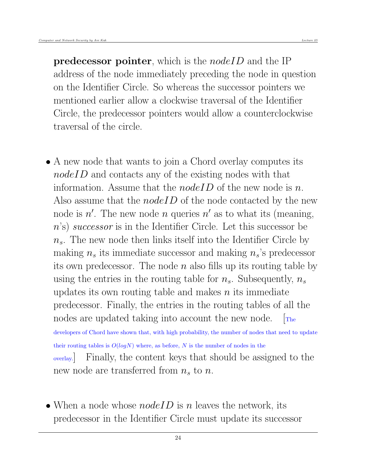**predecessor pointer**, which is the *nodeID* and the IP address of the node immediately preceding the node in question on the Identifier Circle. So whereas the successor pointers we mentioned earlier allow a clockwise traversal of the Identifier Circle, the predecessor pointers would allow a counterclockwise traversal of the circle.

- A new node that wants to join a Chord overlay computes its nodeID and contacts any of the existing nodes with that information. Assume that the *nodeID* of the new node is n. Also assume that the *nodeID* of the node contacted by the new node is  $n'$ . The new node n queries  $n'$  as to what its (meaning, n's) successor is in the Identifier Circle. Let this successor be  $n<sub>s</sub>$ . The new node then links itself into the Identifier Circle by making  $n_s$  its immediate successor and making  $n_s$ 's predecessor its own predecessor. The node  $n$  also fills up its routing table by using the entries in the routing table for  $n_s$ . Subsequently,  $n_s$ updates its own routing table and makes  $n$  its immediate predecessor. Finally, the entries in the routing tables of all the nodes are updated taking into account the new node.  $\mathbb{R}^n$ developers of Chord have shown that, with high probability, the number of nodes that need to update their routing tables is  $O(logN)$  where, as before, N is the number of nodes in the overlay.] Finally, the content keys that should be assigned to the new node are transferred from  $n_s$  to n.
- When a node whose  $nodeID$  is n leaves the network, its predecessor in the Identifier Circle must update its successor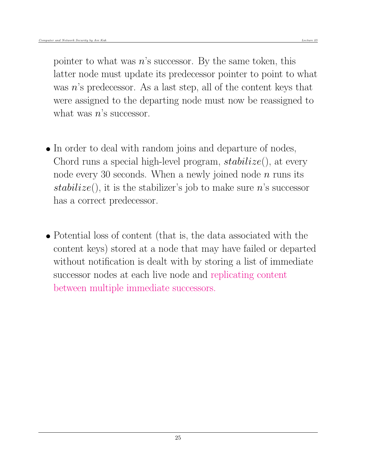pointer to what was  $n$ 's successor. By the same token, this latter node must update its predecessor pointer to point to what was  $n$ 's predecessor. As a last step, all of the content keys that were assigned to the departing node must now be reassigned to what was  $n$ 's successor.

- In order to deal with random joins and departure of nodes, Chord runs a special high-level program,  $stabilize()$ , at every node every 30 seconds. When a newly joined node  $n$  runs its stabilize(), it is the stabilizer's job to make sure n's successor has a correct predecessor.
- Potential loss of content (that is, the data associated with the content keys) stored at a node that may have failed or departed without notification is dealt with by storing a list of immediate successor nodes at each live node and replicating content between multiple immediate successors.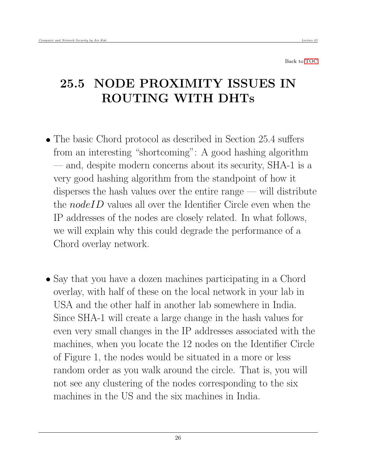# <span id="page-25-0"></span>25.5 NODE PROXIMITY ISSUES IN ROUTING WITH DHTs

- The basic Chord protocol as described in Section 25.4 suffers from an interesting "shortcoming": A good hashing algorithm — and, despite modern concerns about its security, SHA-1 is a very good hashing algorithm from the standpoint of how it disperses the hash values over the entire range — will distribute the *nodeID* values all over the Identifier Circle even when the IP addresses of the nodes are closely related. In what follows, we will explain why this could degrade the performance of a Chord overlay network.
- Say that you have a dozen machines participating in a Chord overlay, with half of these on the local network in your lab in USA and the other half in another lab somewhere in India. Since SHA-1 will create a large change in the hash values for even very small changes in the IP addresses associated with the machines, when you locate the 12 nodes on the Identifier Circle of Figure 1, the nodes would be situated in a more or less random order as you walk around the circle. That is, you will not see any clustering of the nodes corresponding to the six machines in the US and the six machines in India.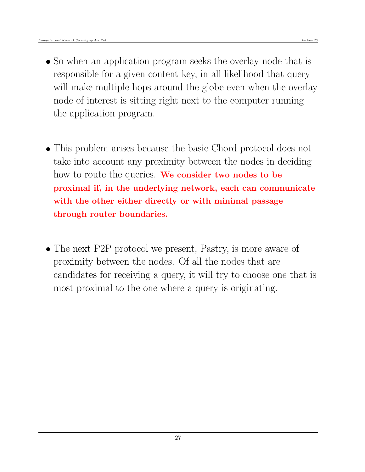- So when an application program seeks the overlay node that is responsible for a given content key, in all likelihood that query will make multiple hops around the globe even when the overlay node of interest is sitting right next to the computer running the application program.
- This problem arises because the basic Chord protocol does not take into account any proximity between the nodes in deciding how to route the queries. We consider two nodes to be proximal if, in the underlying network, each can communicate with the other either directly or with minimal passage through router boundaries.
- The next P2P protocol we present, Pastry, is more aware of proximity between the nodes. Of all the nodes that are candidates for receiving a query, it will try to choose one that is most proximal to the one where a query is originating.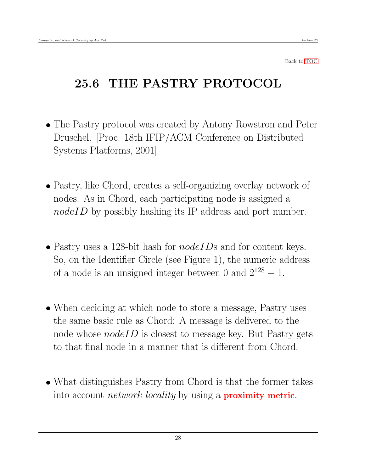# <span id="page-27-0"></span>25.6 THE PASTRY PROTOCOL

- The Pastry protocol was created by Antony Rowstron and Peter Druschel. [Proc. 18th IFIP/ACM Conference on Distributed Systems Platforms, 2001]
- Pastry, like Chord, creates a self-organizing overlay network of nodes. As in Chord, each participating node is assigned a nodeID by possibly hashing its IP address and port number.
- Pastry uses a 128-bit hash for  $nodeIDs$  and for content keys. So, on the Identifier Circle (see Figure 1), the numeric address of a node is an unsigned integer between 0 and  $2^{128} - 1$ .
- When deciding at which node to store a message, Pastry uses the same basic rule as Chord: A message is delivered to the node whose  $nodeID$  is closest to message key. But Pastry gets to that final node in a manner that is different from Chord.
- What distinguishes Pastry from Chord is that the former takes into account *network locality* by using a **proximity metric**.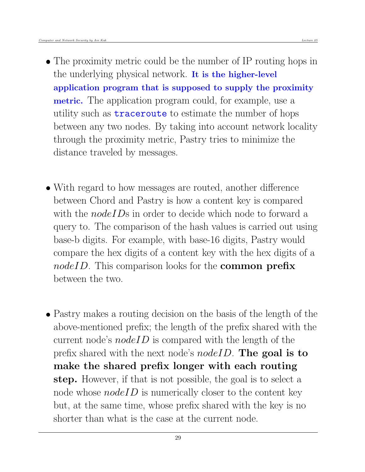- The proximity metric could be the number of IP routing hops in the underlying physical network. It is the higher-level application program that is supposed to supply the proximity metric. The application program could, for example, use a utility such as traceroute to estimate the number of hops between any two nodes. By taking into account network locality through the proximity metric, Pastry tries to minimize the distance traveled by messages.
- With regard to how messages are routed, another difference between Chord and Pastry is how a content key is compared with the *nodeIDs* in order to decide which node to forward a query to. The comparison of the hash values is carried out using base-b digits. For example, with base-16 digits, Pastry would compare the hex digits of a content key with the hex digits of a  $nodeID$ . This comparison looks for the **common prefix** between the two.
- Pastry makes a routing decision on the basis of the length of the above-mentioned prefix; the length of the prefix shared with the current node's  $nodeID$  is compared with the length of the prefix shared with the next node's *nodeID*. The goal is to make the shared prefix longer with each routing step. However, if that is not possible, the goal is to select a node whose  $nodeID$  is numerically closer to the content key but, at the same time, whose prefix shared with the key is no shorter than what is the case at the current node.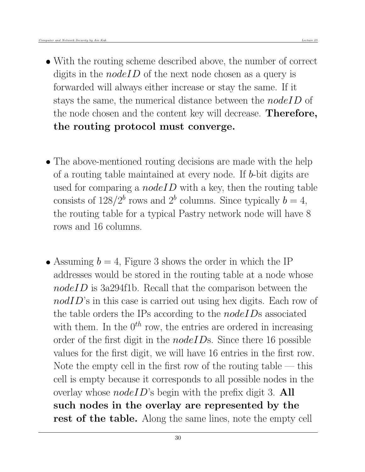- With the routing scheme described above, the number of correct digits in the *nodeID* of the next node chosen as a query is forwarded will always either increase or stay the same. If it stays the same, the numerical distance between the *nodeID* of the node chosen and the content key will decrease. Therefore, the routing protocol must converge.
- The above-mentioned routing decisions are made with the help of a routing table maintained at every node. If b-bit digits are used for comparing a *nodeID* with a key, then the routing table consists of  $128/2^b$  rows and  $2^b$  columns. Since typically  $b = 4$ , the routing table for a typical Pastry network node will have 8 rows and 16 columns.
- Assuming  $b = 4$ , Figure 3 shows the order in which the IP addresses would be stored in the routing table at a node whose nodeID is 3a294f1b. Recall that the comparison between the  $nodID$ 's in this case is carried out using hex digits. Each row of the table orders the IPs according to the  $nodeIDs$  associated with them. In the  $0^{th}$  row, the entries are ordered in increasing order of the first digit in the *nodeIDs*. Since there 16 possible values for the first digit, we will have 16 entries in the first row. Note the empty cell in the first row of the routing table  $-$  this cell is empty because it corresponds to all possible nodes in the overlay whose  $nodeID$ 's begin with the prefix digit 3. All such nodes in the overlay are represented by the rest of the table. Along the same lines, note the empty cell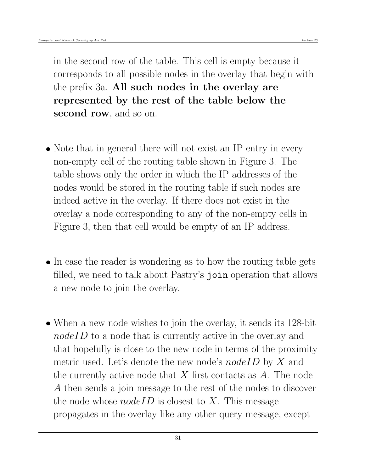in the second row of the table. This cell is empty because it corresponds to all possible nodes in the overlay that begin with the prefix 3a. All such nodes in the overlay are represented by the rest of the table below the second row, and so on.

- Note that in general there will not exist an IP entry in every non-empty cell of the routing table shown in Figure 3. The table shows only the order in which the IP addresses of the nodes would be stored in the routing table if such nodes are indeed active in the overlay. If there does not exist in the overlay a node corresponding to any of the non-empty cells in Figure 3, then that cell would be empty of an IP address.
- In case the reader is wondering as to how the routing table gets filled, we need to talk about Pastry's join operation that allows a new node to join the overlay.
- When a new node wishes to join the overlay, it sends its 128-bit nodeID to a node that is currently active in the overlay and that hopefully is close to the new node in terms of the proximity metric used. Let's denote the new node's  $nodeID$  by X and the currently active node that  $X$  first contacts as  $A$ . The node A then sends a join message to the rest of the nodes to discover the node whose  $nodeID$  is closest to X. This message propagates in the overlay like any other query message, except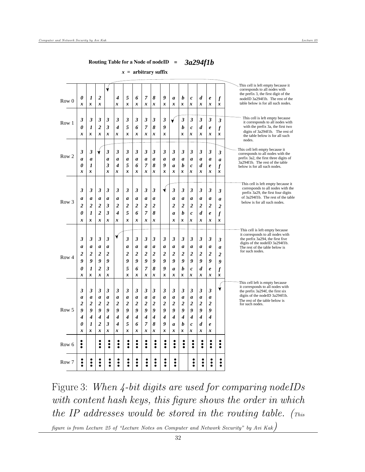#### **Routing Table for a Node of nodeID =** *3a294f1b*

*x =* **arbitrary suffix**

| Row 7            | ŏ<br>٠              | $\bullet$                | ۰<br>ō<br>٠                  | $\bullet$<br>٠ | $\ddot{\bullet}$<br>٠ | ò<br>٠                       | $\ddot{\bullet}$<br>٠ | ٠<br>٠                | ò<br>٠                | $\ddot{\bullet}$<br>$\bullet$ | ፡<br>٠         |                  | $\bullet$                    | $\bullet$<br>٠        | ō<br>٠                | $\ddot{\bullet}$<br>٠                   |                                                                            |
|------------------|---------------------|--------------------------|------------------------------|----------------|-----------------------|------------------------------|-----------------------|-----------------------|-----------------------|-------------------------------|----------------|------------------|------------------------------|-----------------------|-----------------------|-----------------------------------------|----------------------------------------------------------------------------|
| Row 6            | ٠<br>ះ              |                          | ٠<br>៖                       | ٠<br>٠         | $\ddot{\bullet}$      | ٠<br>٠<br>ė                  | ٠<br>$\ddot{\bullet}$ | ٠<br>$\ddot{\bullet}$ | ٠<br>$\bullet$        | ٠<br>İ                        | ٠<br>ះ         | ٠<br>ះ           | ٠<br>$\ddot{\bullet}$        | ٠<br>$\ddot{\bullet}$ | $\bullet$             | ٠<br>$\ddot{\bullet}$                   |                                                                            |
|                  | x                   | x                        | x                            | x              | x                     | x                            | x                     | x                     | x                     | x                             | x              | x                | x                            | x                     | x                     |                                         |                                                                            |
|                  | 0                   | 1                        | $\overline{2}$               | 3              | 4                     | 5                            | 6                     | 7                     | 8                     | 9                             | a              | b                | $\mathcal{C}_{0}$            | d                     | e                     |                                         |                                                                            |
|                  | 4                   | $\overline{\mathcal{A}}$ | 4                            | 4              | 4                     | $\boldsymbol{4}$             | 4                     | 4                     | 4                     | 4                             | 4              | 4                | 4                            | 4                     | 4                     |                                         |                                                                            |
| Row 5            | 2<br>9              | $\overline{2}$<br>9      | $\overline{\mathbf{2}}$<br>9 | 2<br>9         | 2<br>9                | $\overline{\mathbf{2}}$<br>9 | $\overline{2}$<br>9   | $\overline{2}$<br>9   | $\overline{2}$<br>9   | $\boldsymbol{2}$<br>9         | 2<br>9         | 2<br>9           | $\overline{\mathbf{2}}$<br>9 | 2<br>9                | $\boldsymbol{2}$<br>9 |                                         | for such nodes.                                                            |
|                  | $\boldsymbol{a}$    | a                        | a                            | a              | a                     | a                            | a                     | a                     | a                     | a                             | a              | a                | a                            | a                     | a                     |                                         | digits of the nodeID 3a294f1b.<br>The rest of the table below is           |
|                  | 3                   | 3                        | 3                            | 3              | 3                     | 3                            | 3                     | 3                     | 3                     | 3                             | 3              | 3                | 3                            | 3                     | 3                     | ↓                                       | the prefix 3a294f, the first six                                           |
|                  |                     |                          |                              |                |                       |                              |                       |                       |                       |                               |                |                  |                              |                       |                       |                                         | This cell left is empty because<br>it corresponds to all nodes with        |
|                  | x                   | x                        | x                            | x              |                       | x                            | x                     | x                     | x                     | x                             | x              | x                | x                            | x                     | x                     | x                                       |                                                                            |
|                  | 0                   | 1                        | $\overline{2}$               | 3              |                       | 5                            | 6                     | 7                     | 8                     | 9                             | a              | b                | $\boldsymbol{c}$             | d                     | $\pmb{e}$             | $\boldsymbol{f}$                        |                                                                            |
| Row <sub>4</sub> | 9                   | $\boldsymbol{g}$         | 9                            | 9              |                       | 9                            | 9                     | 9                     | 9                     | 9                             | 9              | 9                | 9                            | 9                     | 9                     | $\boldsymbol{2}$<br>9                   |                                                                            |
|                  | a<br>2              | a<br>$\overline{c}$      | a<br>2                       | a<br>2         |                       | a<br>2                       | a<br>$\overline{2}$   | a<br>2                | a<br>$\overline{2}$   | a<br>2                        | a<br>2         | a<br>2           | a<br>2                       | a<br>2                | a<br>$\boldsymbol{2}$ | a                                       | The rest of the table below is<br>for such nodes.                          |
|                  | 3                   | 3                        | 3                            | 3              |                       | 3                            | 3                     | 3                     | 3                     | 3                             | 3              | 3                | 3                            | 3                     | 3                     | 3                                       | the prefix 3a294, the first five<br>digits of the nodeID 3a294f1b.         |
|                  |                     |                          |                              |                | V                     |                              |                       |                       |                       |                               |                |                  |                              |                       |                       |                                         | This cell is left empty because<br>it corresponds to all nodes with        |
|                  |                     |                          |                              |                |                       |                              |                       |                       |                       |                               |                |                  |                              |                       |                       |                                         |                                                                            |
|                  | x                   | $\boldsymbol{l}$<br>x    | $\overline{2}$<br>x          | 3<br>x         | x                     | x                            | 6<br>x                | x                     | 8<br>$\boldsymbol{x}$ |                               | a<br>x         | h<br>x           | $\boldsymbol{c}$<br>x        | d<br>x                | $\pmb{e}$<br>x        | $\overline{f}$<br>x                     |                                                                            |
|                  | $\overline{c}$<br>0 | $\boldsymbol{2}$         | $\boldsymbol{2}$             | 3              | $\overline{c}$<br>4   | $\overline{2}$<br>5          | $\overline{c}$        | $\overline{c}$<br>7   | $\overline{2}$        |                               | $\overline{c}$ | $\overline{2}$   | $\overline{2}$               | $\overline{c}$        | $\overline{2}$        | $\overline{2}$                          |                                                                            |
| Row <sub>3</sub> | a                   | a                        | a                            | a              | a                     | $\boldsymbol{a}$             | $\boldsymbol{a}$      | $\boldsymbol{a}$      | a                     |                               | a              | $\boldsymbol{a}$ | a                            | a                     | a                     | a                                       | of 3a294f1b. The rest of the table<br>below is for all such nodes.         |
|                  | 3                   | 3                        | 3                            | 3              | 3                     | 3                            | 3                     | 3                     | 3                     |                               | 3              | 3                | 3                            | 3                     | 3                     | 3                                       | corresponds to all nodes with the<br>prefix 3a29, the first four digits    |
|                  |                     |                          |                              |                |                       |                              |                       |                       |                       |                               |                |                  |                              |                       |                       |                                         | This cell is left empty because it                                         |
|                  | x                   | x                        |                              | x              | x                     | $\pmb{\mathcal{X}}$          | x                     | $\pmb{\mathcal{X}}$   | $\boldsymbol{x}$      | x                             | x              | x                | x                            | x                     | x                     | x                                       |                                                                            |
|                  | 0                   | 1                        |                              | 3              | 4                     | 5                            | 6                     | 7                     | 8                     | 9                             | a              | b                | $\boldsymbol{c}$             | d                     | e                     | $\boldsymbol{f}$                        | 3a294f1b. The rest of the table<br>below is for all such nodes.            |
| Row <sub>2</sub> | a                   | a                        |                              | a              | $\boldsymbol{a}$      | a                            | a                     | $\boldsymbol{a}$      | a                     | a                             | a              | $\boldsymbol{a}$ | a                            | a                     | a                     | $\boldsymbol{a}$                        | corresponds to all nodes with the<br>prefix 3a2, the first three digits of |
|                  | 3                   | 3                        |                              | 3              | 3                     | 3                            | 3                     | 3                     | 3                     | 3                             | 3              | 3                | 3                            | 3                     | 3                     | 3                                       | This cell left empty because it                                            |
|                  |                     |                          |                              |                |                       |                              |                       |                       |                       |                               |                |                  |                              |                       |                       |                                         | nodes.                                                                     |
|                  | x                   | x                        | x                            | x              | x                     | $\pmb{\mathcal{X}}$          | x                     | x                     | x                     | x                             |                | x                | $\boldsymbol{c}$<br>x        | x                     | $\pmb{e}$<br>x        | $\boldsymbol{f}$<br>$\pmb{\mathcal{X}}$ | digits of 3a294f1b. The rest of<br>the table below is for all such         |
| Row 1            | 3<br>0              | 3<br>1                   | 3<br>$\overline{2}$          | 3<br>3         | 3<br>4                | 3<br>5                       | 3<br>6                | 3<br>7                | 3<br>8                | 3<br>9                        |                | 3<br>b           | 3                            | 3<br>d                | 3                     | $\mathbf{3}$                            | it corresponds to all nodes with<br>with the prefix 3a, the first two      |
|                  |                     |                          |                              |                |                       |                              |                       |                       |                       |                               |                |                  |                              |                       |                       |                                         | This cell is left empty because                                            |
|                  | x                   | x                        | $\pmb{\mathcal{X}}$          |                | x                     | x                            | x                     | x                     | $\boldsymbol{x}$      | x                             | x              | x                | x                            | x                     | x                     | x                                       | table below is for all such nodes.                                         |
| Row 0            | 0                   | 1                        | $\boldsymbol{2}$             |                | 4                     | 5                            | 6                     | 7                     | 8                     | 9                             | a              | b                | $\boldsymbol{c}$             | d                     | $\pmb{e}$             | $\boldsymbol{f}$                        | the prefix 3, the first digit of the<br>nodeID 3a294f1b. The rest of the   |
|                  |                     |                          |                              | Ý              |                       |                              |                       |                       |                       |                               |                |                  |                              |                       |                       |                                         | This cell is left empty because it<br>corresponds to all nodes with        |

Figure 3: When 4-bit digits are used for comparing nodeIDs with content hash keys, this figure shows the order in which the IP addresses would be stored in the routing table.  $(r_{his})$ 

figure is from Lecture 25 of "Lecture Notes on Computer and Network Security" by Avi Kak)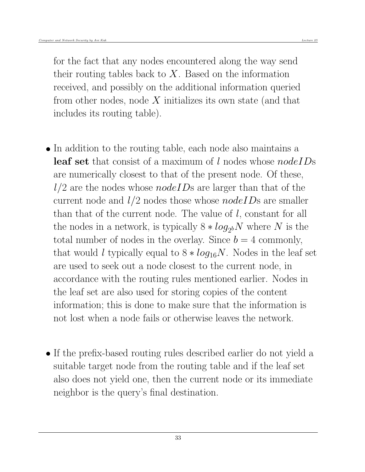for the fact that any nodes encountered along the way send their routing tables back to  $X$ . Based on the information received, and possibly on the additional information queried from other nodes, node  $X$  initializes its own state (and that includes its routing table).

- In addition to the routing table, each node also maintains a leaf set that consist of a maximum of l nodes whose *nodeIDs* are numerically closest to that of the present node. Of these,  $l/2$  are the nodes whose *nodeIDs* are larger than that of the current node and  $l/2$  nodes those whose *nodeIDs* are smaller than that of the current node. The value of l, constant for all the nodes in a network, is typically  $8 * log_{2b}N$  where N is the total number of nodes in the overlay. Since  $b = 4$  commonly, that would l typically equal to  $8 * log_{16}N$ . Nodes in the leaf set are used to seek out a node closest to the current node, in accordance with the routing rules mentioned earlier. Nodes in the leaf set are also used for storing copies of the content information; this is done to make sure that the information is not lost when a node fails or otherwise leaves the network.
- If the prefix-based routing rules described earlier do not yield a suitable target node from the routing table and if the leaf set also does not yield one, then the current node or its immediate neighbor is the query's final destination.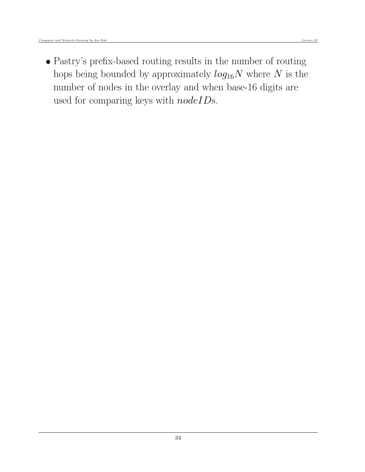Pastry's prefix-based routing results in the number of routing hops being bounded by approximately  $log_{16}N$  where N is the number of nodes in the overlay and when base-16 digits are used for comparing keys with  $nodeID$ s.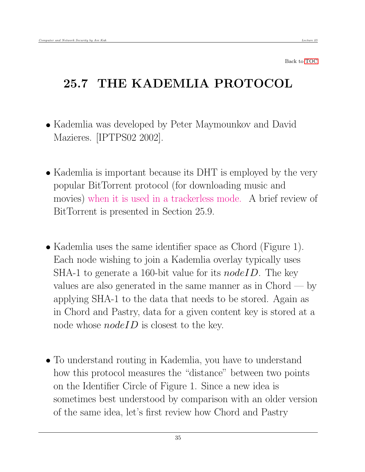# <span id="page-34-0"></span>25.7 THE KADEMLIA PROTOCOL

- Kademlia was developed by Peter Maymounkov and David Mazieres. [IPTPS02 2002].
- Kademlia is important because its DHT is employed by the very popular BitTorrent protocol (for downloading music and movies) when it is used in a trackerless mode. A brief review of BitTorrent is presented in Section 25.9.
- Kademlia uses the same identifier space as Chord (Figure 1). Each node wishing to join a Kademlia overlay typically uses SHA-1 to generate a 160-bit value for its  $nodeID$ . The key values are also generated in the same manner as in  $Chord - by$ applying SHA-1 to the data that needs to be stored. Again as in Chord and Pastry, data for a given content key is stored at a node whose  $nodeID$  is closest to the key.
- To understand routing in Kademlia, you have to understand how this protocol measures the "distance" between two points on the Identifier Circle of Figure 1. Since a new idea is sometimes best understood by comparison with an older version of the same idea, let's first review how Chord and Pastry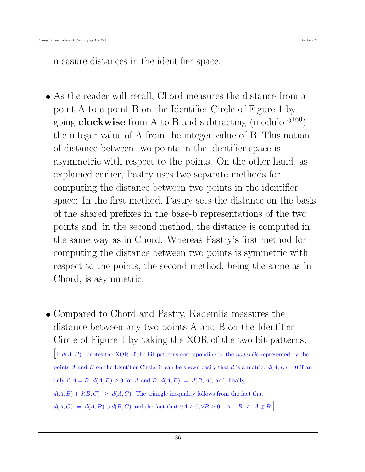measure distances in the identifier space.

- As the reader will recall, Chord measures the distance from a point A to a point B on the Identifier Circle of Figure 1 by going **clockwise** from A to B and subtracting (modulo  $2^{160}$ ) the integer value of A from the integer value of B. This notion of distance between two points in the identifier space is asymmetric with respect to the points. On the other hand, as explained earlier, Pastry uses two separate methods for computing the distance between two points in the identifier space: In the first method, Pastry sets the distance on the basis of the shared prefixes in the base-b representations of the two points and, in the second method, the distance is computed in the same way as in Chord. Whereas Pastry's first method for computing the distance between two points is symmetric with respect to the points, the second method, being the same as in Chord, is asymmetric.
- Compared to Chord and Pastry, Kademlia measures the distance between any two points A and B on the Identifier Circle of Figure 1 by taking the XOR of the two bit patterns. If  $d(A, B)$  denotes the XOR of the bit patterns corresponding to the *nodeIDs* represented by the points A and B on the Identifier Circle, it can be shown easily that d is a metric:  $d(A, B) = 0$  if an only if  $A = B$ ;  $d(A, B) \ge 0$  for A and B;  $d(A, B) = d(B, A)$ ; and, finally,  $d(A, B) + d(B, C) \geq d(A, C)$ . The triangle inequality follows from the fact that  $d(A, C) = d(A, B) \oplus d(B, C)$  and the fact that  $\forall A \geq 0, \forall B \geq 0 \quad A + B \geq A \oplus B$ .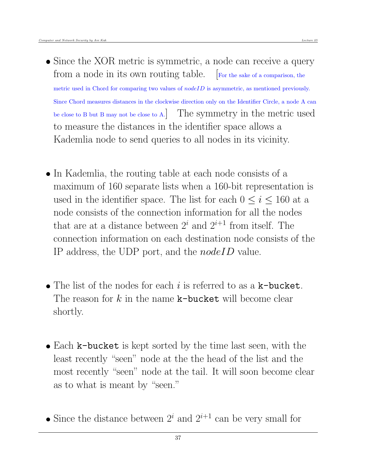- Since the XOR metric is symmetric, a node can receive a query from a node in its own routing table. For the sake of a comparison, the metric used in Chord for comparing two values of  $nodeID$  is asymmetric, as mentioned previously. Since Chord measures distances in the clockwise direction only on the Identifier Circle, a node A can be close to B but B may not be close to A.] The symmetry in the metric used to measure the distances in the identifier space allows a Kademlia node to send queries to all nodes in its vicinity.
- In Kademlia, the routing table at each node consists of a maximum of 160 separate lists when a 160-bit representation is used in the identifier space. The list for each  $0 \leq i \leq 160$  at a node consists of the connection information for all the nodes that are at a distance between  $2^i$  and  $2^{i+1}$  from itself. The connection information on each destination node consists of the IP address, the UDP port, and the nodeID value.
- The list of the nodes for each i is referred to as a  $k$ -bucket. The reason for k in the name  $k$ -bucket will become clear shortly.
- Each k-bucket is kept sorted by the time last seen, with the least recently "seen" node at the the head of the list and the most recently "seen" node at the tail. It will soon become clear as to what is meant by "seen."
- Since the distance between  $2^i$  and  $2^{i+1}$  can be very small for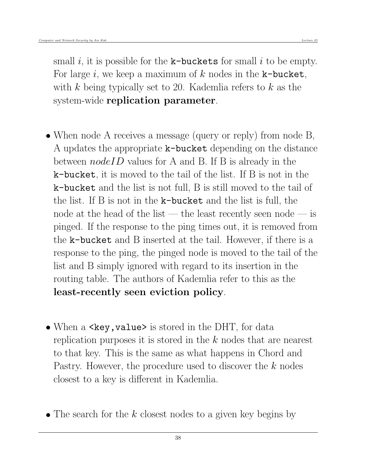small i, it is possible for the  $k$ -buckets for small i to be empty. For large i, we keep a maximum of k nodes in the  $k$ -bucket, with k being typically set to 20. Kademlia refers to  $k$  as the system-wide replication parameter.

- When node A receives a message (query or reply) from node B, A updates the appropriate k-bucket depending on the distance between *nodeID* values for A and B. If B is already in the k-bucket, it is moved to the tail of the list. If B is not in the k-bucket and the list is not full, B is still moved to the tail of the list. If B is not in the k-bucket and the list is full, the node at the head of the list — the least recently seen node — is pinged. If the response to the ping times out, it is removed from the k-bucket and B inserted at the tail. However, if there is a response to the ping, the pinged node is moved to the tail of the list and B simply ignored with regard to its insertion in the routing table. The authors of Kademlia refer to this as the least-recently seen eviction policy.
- When a  $\langle \text{key}, \text{value} \rangle$  is stored in the DHT, for data replication purposes it is stored in the k nodes that are nearest to that key. This is the same as what happens in Chord and Pastry. However, the procedure used to discover the  $k$  nodes closest to a key is different in Kademlia.
- $\bullet$  The search for the k closest nodes to a given key begins by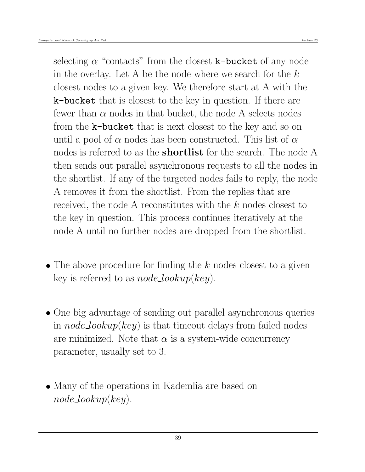selecting  $\alpha$  "contacts" from the closest **k-bucket** of any node in the overlay. Let A be the node where we search for the  $k$ closest nodes to a given key. We therefore start at A with the k-bucket that is closest to the key in question. If there are fewer than  $\alpha$  nodes in that bucket, the node A selects nodes from the k-bucket that is next closest to the key and so on until a pool of  $\alpha$  nodes has been constructed. This list of  $\alpha$ nodes is referred to as the **shortlist** for the search. The node A then sends out parallel asynchronous requests to all the nodes in the shortlist. If any of the targeted nodes fails to reply, the node A removes it from the shortlist. From the replies that are received, the node A reconstitutes with the k nodes closest to the key in question. This process continues iteratively at the node A until no further nodes are dropped from the shortlist.

- $\bullet$  The above procedure for finding the k nodes closest to a given key is referred to as  $node\_lookup(key)$ .
- One big advantage of sending out parallel asynchronous queries in *node\_lookup(key)* is that timeout delays from failed nodes are minimized. Note that  $\alpha$  is a system-wide concurrency parameter, usually set to 3.
- Many of the operations in Kademlia are based on  $node\_lookup(key)$ .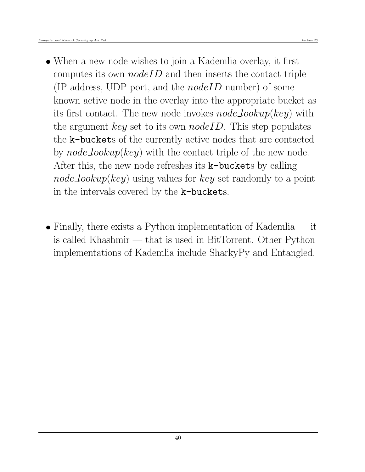- When a new node wishes to join a Kademlia overlay, it first computes its own  $nodeID$  and then inserts the contact triple (IP address, UDP port, and the  $nodeID$  number) of some known active node in the overlay into the appropriate bucket as its first contact. The new node invokes  $node\_lookup(key)$  with the argument key set to its own *nodeID*. This step populates the k-buckets of the currently active nodes that are contacted by  $node\_lookup(key)$  with the contact triple of the new node. After this, the new node refreshes its **k-buckets** by calling  $node\_lookup(key)$  using values for key set randomly to a point in the intervals covered by the k-buckets.
- Finally, there exists a Python implementation of Kademlia  $-$  it is called Khashmir — that is used in BitTorrent. Other Python implementations of Kademlia include SharkyPy and Entangled.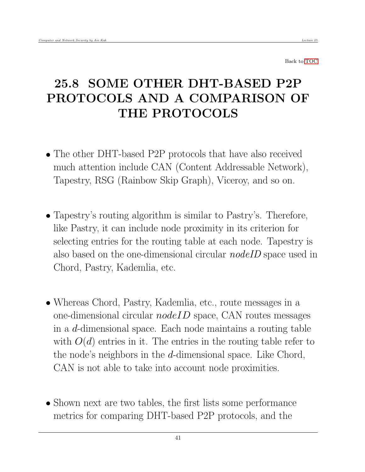# <span id="page-40-0"></span>25.8 SOME OTHER DHT-BASED P2P PROTOCOLS AND A COMPARISON OF THE PROTOCOLS

- The other DHT-based P2P protocols that have also received much attention include CAN (Content Addressable Network), Tapestry, RSG (Rainbow Skip Graph), Viceroy, and so on.
- Tapestry's routing algorithm is similar to Pastry's. Therefore, like Pastry, it can include node proximity in its criterion for selecting entries for the routing table at each node. Tapestry is also based on the one-dimensional circular *nodeID* space used in Chord, Pastry, Kademlia, etc.
- Whereas Chord, Pastry, Kademlia, etc., route messages in a one-dimensional circular  $nodeID$  space, CAN routes messages in a d-dimensional space. Each node maintains a routing table with  $O(d)$  entries in it. The entries in the routing table refer to the node's neighbors in the d-dimensional space. Like Chord, CAN is not able to take into account node proximities.
- Shown next are two tables, the first lists some performance metrics for comparing DHT-based P2P protocols, and the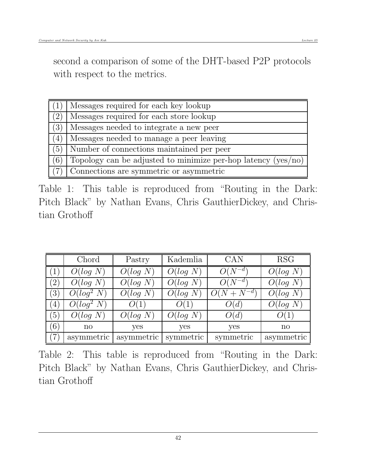second a comparison of some of the DHT-based P2P protocols with respect to the metrics.

| (1) | Messages required for each key lookup                           |
|-----|-----------------------------------------------------------------|
| (2) | Messages required for each store lookup                         |
| (3) | Messages needed to integrate a new peer                         |
| (4) | Messages needed to manage a peer leaving                        |
| (5) | Number of connections maintained per peer                       |
| (6) | Topology can be adjusted to minimize per-hop latency $(yes/no)$ |
| (7) | Connections are symmetric or asymmetric                         |

Table 1: This table is reproduced from "Routing in the Dark: Pitch Black" by Nathan Evans, Chris GauthierDickey, and Christian Grothoff

|               | Chord        | Pastry     | Kademlia  | <b>CAN</b>      | <b>RSG</b>   |
|---------------|--------------|------------|-----------|-----------------|--------------|
|               | O(log N)     | O(log N)   | O(log N)  | $O(N^{-d})$     | O(log N)     |
| $^{\prime}2)$ | O(log N)     | O(log N)   | O(log N)  | $O(N^{-d})$     | O(log N)     |
| (3)           | $O(log^2 N)$ | O(log N)   | O(log N)  | $O(N + N^{-d})$ | O(log N)     |
| (4)           | $O(log^2 N)$ | O(1)       | O(1)      | O(d)            | O(log N)     |
| (5)           | O(log N)     | O(log N)   | O(log N)  | O(d)            | O(1)         |
| (6)           | $\mathbf{n}$ | yes        | yes       | yes             | $\mathbf{n}$ |
| $\mathcal{T}$ | asymmetric   | asymmetric | symmetric | symmetric       | asymmetric   |

Table 2: This table is reproduced from "Routing in the Dark: Pitch Black" by Nathan Evans, Chris GauthierDickey, and Christian Grothoff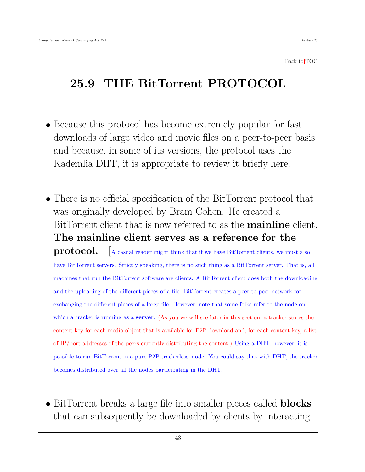## <span id="page-42-0"></span>25.9 THE BitTorrent PROTOCOL

- Because this protocol has become extremely popular for fast downloads of large video and movie files on a peer-to-peer basis and because, in some of its versions, the protocol uses the Kademlia DHT, it is appropriate to review it briefly here.
- There is no official specification of the BitTorrent protocol that was originally developed by Bram Cohen. He created a BitTorrent client that is now referred to as the **mainline** client. The mainline client serves as a reference for the **protocol.**  $\left[$  A casual reader might think that if we have BitTorrent clients, we must also have BitTorrent servers. Strictly speaking, there is no such thing as a BitTorrent server. That is, all machines that run the BitTorrent software are clients. A BitTorrent client does both the downloading and the uploading of the different pieces of a file. BitTorrent creates a peer-to-peer network for exchanging the different pieces of a large file. However, note that some folks refer to the node on which a tracker is running as a **server**. (As you we will see later in this section, a tracker stores the content key for each media object that is available for P2P download and, for each content key, a list of IP/port addresses of the peers currently distributing the content.) Using a DHT, however, it is possible to run BitTorrent in a pure P2P trackerless mode. You could say that with DHT, the tracker becomes distributed over all the nodes participating in the DHT.]
- BitTorrent breaks a large file into smaller pieces called **blocks** that can subsequently be downloaded by clients by interacting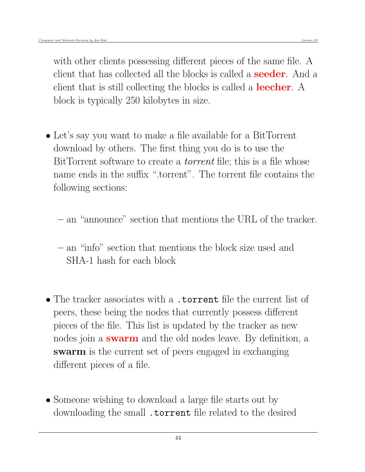with other clients possessing different pieces of the same file. A client that has collected all the blocks is called a **seeder**. And a client that is still collecting the blocks is called a **leecher**. A block is typically 250 kilobytes in size.

- Let's say you want to make a file available for a BitTorrent download by others. The first thing you do is to use the BitTorrent software to create a *torrent* file; this is a file whose name ends in the suffix ".torrent". The torrent file contains the following sections:
	- an "announce" section that mentions the URL of the tracker.
	- an "info" section that mentions the block size used and SHA-1 hash for each block
- The tracker associates with a .torrent file the current list of peers, these being the nodes that currently possess different pieces of the file. This list is updated by the tracker as new nodes join a **swarm** and the old nodes leave. By definition, a swarm is the current set of peers engaged in exchanging different pieces of a file.
- Someone wishing to download a large file starts out by downloading the small **torrent** file related to the desired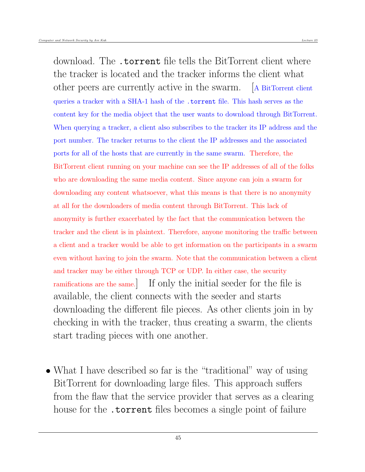download. The .torrent file tells the BitTorrent client where the tracker is located and the tracker informs the client what other peers are currently active in the swarm. [A BitTorrent client queries a tracker with a SHA-1 hash of the .torrent file. This hash serves as the content key for the media object that the user wants to download through BitTorrent. When querying a tracker, a client also subscribes to the tracker its IP address and the port number. The tracker returns to the client the IP addresses and the associated ports for all of the hosts that are currently in the same swarm. Therefore, the BitTorrent client running on your machine can see the IP addresses of all of the folks who are downloading the same media content. Since anyone can join a swarm for downloading any content whatsoever, what this means is that there is no anonymity at all for the downloaders of media content through BitTorrent. This lack of anonymity is further exacerbated by the fact that the communication between the tracker and the client is in plaintext. Therefore, anyone monitoring the traffic between a client and a tracker would be able to get information on the participants in a swarm even without having to join the swarm. Note that the communication between a client and tracker may be either through TCP or UDP. In either case, the security ramifications are the same.] If only the initial seeder for the file is available, the client connects with the seeder and starts downloading the different file pieces. As other clients join in by checking in with the tracker, thus creating a swarm, the clients start trading pieces with one another.

• What I have described so far is the "traditional" way of using BitTorrent for downloading large files. This approach suffers from the flaw that the service provider that serves as a clearing house for the **torrent** files becomes a single point of failure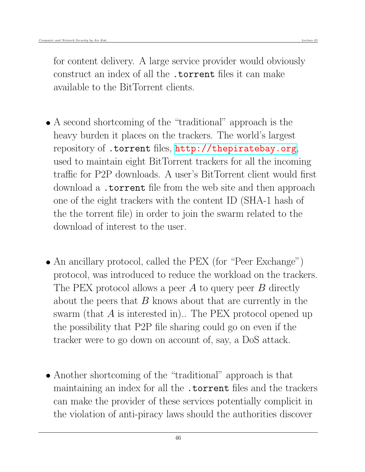for content delivery. A large service provider would obviously construct an index of all the .torrent files it can make available to the BitTorrent clients.

- A second shortcoming of the "traditional" approach is the heavy burden it places on the trackers. The world's largest repository of .torrent files, <http://thepiratebay.org>, used to maintain eight BitTorrent trackers for all the incoming traffic for P2P downloads. A user's BitTorrent client would first download a .torrent file from the web site and then approach one of the eight trackers with the content ID (SHA-1 hash of the the torrent file) in order to join the swarm related to the download of interest to the user.
- An ancillary protocol, called the PEX (for "Peer Exchange") protocol, was introduced to reduce the workload on the trackers. The PEX protocol allows a peer  $A$  to query peer  $B$  directly about the peers that  $B$  knows about that are currently in the swarm (that A is interested in).. The PEX protocol opened up the possibility that P2P file sharing could go on even if the tracker were to go down on account of, say, a DoS attack.
- Another shortcoming of the "traditional" approach is that maintaining an index for all the .torrent files and the trackers can make the provider of these services potentially complicit in the violation of anti-piracy laws should the authorities discover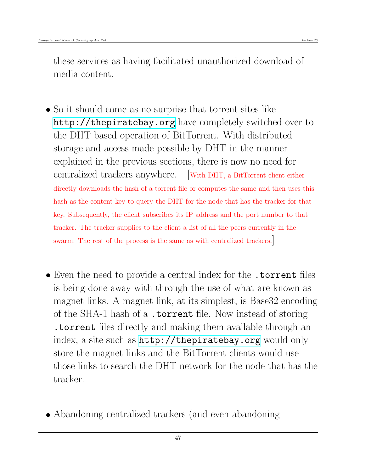these services as having facilitated unauthorized download of media content.

- So it should come as no surprise that torrent sites like <http://thepiratebay.org> have completely switched over to the DHT based operation of BitTorrent. With distributed storage and access made possible by DHT in the manner explained in the previous sections, there is now no need for centralized trackers anywhere. [With DHT, a BitTorrent client either directly downloads the hash of a torrent file or computes the same and then uses this hash as the content key to query the DHT for the node that has the tracker for that key. Subsequently, the client subscribes its IP address and the port number to that tracker. The tracker supplies to the client a list of all the peers currently in the swarm. The rest of the process is the same as with centralized trackers.]
- Even the need to provide a central index for the .torrent files is being done away with through the use of what are known as magnet links. A magnet link, at its simplest, is Base32 encoding of the SHA-1 hash of a .torrent file. Now instead of storing .torrent files directly and making them available through an index, a site such as <http://thepiratebay.org> would only store the magnet links and the BitTorrent clients would use those links to search the DHT network for the node that has the tracker.
- Abandoning centralized trackers (and even abandoning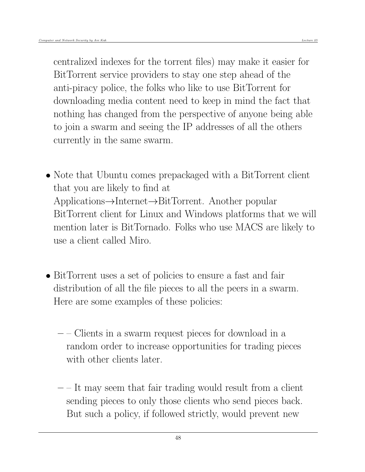centralized indexes for the torrent files) may make it easier for BitTorrent service providers to stay one step ahead of the anti-piracy police, the folks who like to use BitTorrent for downloading media content need to keep in mind the fact that nothing has changed from the perspective of anyone being able to join a swarm and seeing the IP addresses of all the others currently in the same swarm.

- Note that Ubuntu comes prepackaged with a BitTorrent client that you are likely to find at Applications→Internet→BitTorrent. Another popular BitTorrent client for Linux and Windows platforms that we will mention later is BitTornado. Folks who use MACS are likely to use a client called Miro.
- BitTorrent uses a set of policies to ensure a fast and fair distribution of all the file pieces to all the peers in a swarm. Here are some examples of these policies:
	- – Clients in a swarm request pieces for download in a random order to increase opportunities for trading pieces with other clients later.
	- $-$  It may seem that fair trading would result from a client sending pieces to only those clients who send pieces back. But such a policy, if followed strictly, would prevent new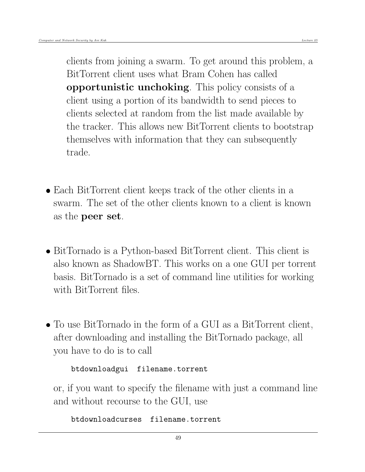clients from joining a swarm. To get around this problem, a BitTorrent client uses what Bram Cohen has called opportunistic unchoking. This policy consists of a client using a portion of its bandwidth to send pieces to clients selected at random from the list made available by the tracker. This allows new BitTorrent clients to bootstrap themselves with information that they can subsequently trade.

- Each BitTorrent client keeps track of the other clients in a swarm. The set of the other clients known to a client is known as the peer set.
- BitTornado is a Python-based BitTorrent client. This client is also known as ShadowBT. This works on a one GUI per torrent basis. BitTornado is a set of command line utilities for working with BitTorrent files.
- To use BitTornado in the form of a GUI as a BitTorrent client, after downloading and installing the BitTornado package, all you have to do is to call

```
btdownloadgui filename.torrent
```
or, if you want to specify the filename with just a command line and without recourse to the GUI, use

btdownloadcurses filename.torrent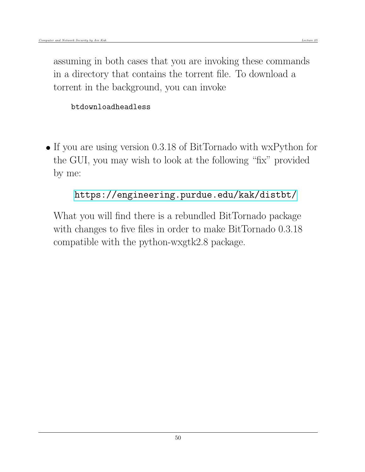assuming in both cases that you are invoking these commands in a directory that contains the torrent file. To download a torrent in the background, you can invoke

## btdownloadheadless

 If you are using version 0.3.18 of BitTornado with wxPython for the GUI, you may wish to look at the following "fix" provided by me:

## <https://engineering.purdue.edu/kak/distbt/>

What you will find there is a rebundled BitTornado package with changes to five files in order to make BitTornado 0.3.18 compatible with the python-wxgtk2.8 package.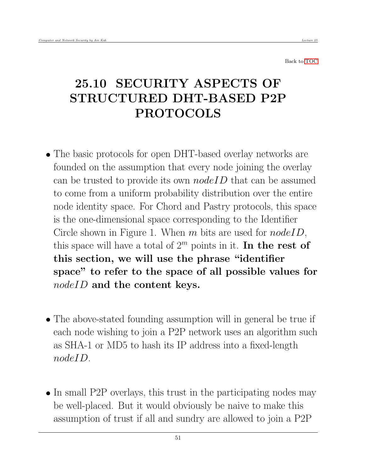# <span id="page-50-0"></span>25.10 SECURITY ASPECTS OF STRUCTURED DHT-BASED P2P PROTOCOLS

- The basic protocols for open DHT-based overlay networks are founded on the assumption that every node joining the overlay can be trusted to provide its own  $nodeID$  that can be assumed to come from a uniform probability distribution over the entire node identity space. For Chord and Pastry protocols, this space is the one-dimensional space corresponding to the Identifier Circle shown in Figure 1. When  $m$  bits are used for  $nodeID$ , this space will have a total of  $2^m$  points in it. In the rest of this section, we will use the phrase "identifier space" to refer to the space of all possible values for nodeID and the content keys.
- The above-stated founding assumption will in general be true if each node wishing to join a P2P network uses an algorithm such as SHA-1 or MD5 to hash its IP address into a fixed-length nodeID.
- In small P2P overlays, this trust in the participating nodes may be well-placed. But it would obviously be naive to make this assumption of trust if all and sundry are allowed to join a P2P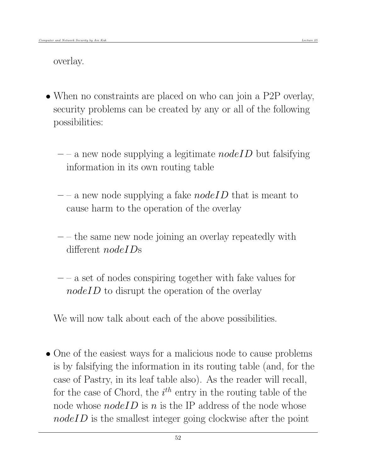overlay.

- When no constraints are placed on who can join a P2P overlay, security problems can be created by any or all of the following possibilities:
	- $-$  a new node supplying a legitimate nodeID but falsifying information in its own routing table
	- $-$  a new node supplying a fake *nodeID* that is meant to cause harm to the operation of the overlay
	- $-$  the same new node joining an overlay repeatedly with different *nodeIDs*
	- $-$  a set of nodes conspiring together with fake values for  $nodeID$  to disrupt the operation of the overlay

We will now talk about each of the above possibilities.

• One of the easiest ways for a malicious node to cause problems is by falsifying the information in its routing table (and, for the case of Pastry, in its leaf table also). As the reader will recall, for the case of Chord, the  $i^{th}$  entry in the routing table of the node whose  $nodeID$  is n is the IP address of the node whose nodeID is the smallest integer going clockwise after the point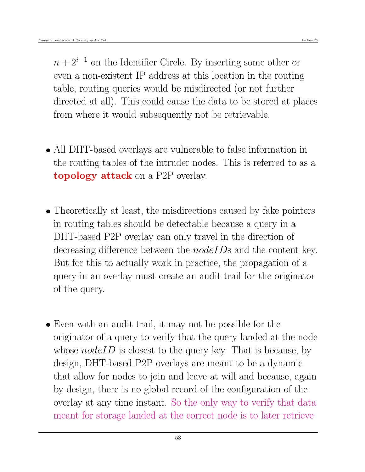$n + 2^{i-1}$  on the Identifier Circle. By inserting some other or even a non-existent IP address at this location in the routing table, routing queries would be misdirected (or not further directed at all). This could cause the data to be stored at places from where it would subsequently not be retrievable.

- All DHT-based overlays are vulnerable to false information in the routing tables of the intruder nodes. This is referred to as a topology attack on a P2P overlay.
- Theoretically at least, the misdirections caused by fake pointers in routing tables should be detectable because a query in a DHT-based P2P overlay can only travel in the direction of decreasing difference between the *nodeIDs* and the content key. But for this to actually work in practice, the propagation of a query in an overlay must create an audit trail for the originator of the query.
- Even with an audit trail, it may not be possible for the originator of a query to verify that the query landed at the node whose  $nodeID$  is closest to the query key. That is because, by design, DHT-based P2P overlays are meant to be a dynamic that allow for nodes to join and leave at will and because, again by design, there is no global record of the configuration of the overlay at any time instant. So the only way to verify that data meant for storage landed at the correct node is to later retrieve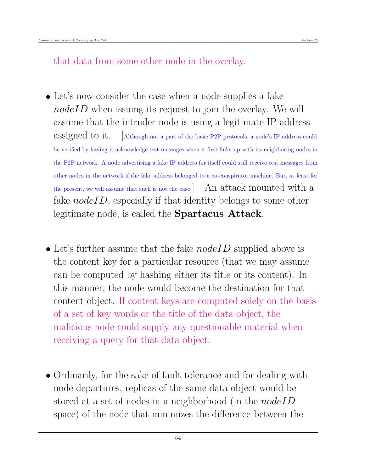that data from some other node in the overlay.

- Let's now consider the case when a node supplies a fake  $nodeID$  when issuing its request to join the overlay. We will assume that the intruder node is using a legitimate IP address assigned to it. [Although not a part of the basic P2P protocols, a node's IP address could be verified by having it acknowledge test messages when it first links up with its neighboring nodes in the P2P network. A node advertising a fake IP address for itself could still receive test messages from other nodes in the network if the fake address belonged to a co-conspirator machine. But, at least for the present, we will assume that such is not the case.] An attack mounted with a fake  $nodeID$ , especially if that identity belongs to some other legitimate node, is called the Spartacus Attack.
- Let's further assume that the fake  $nodeID$  supplied above is the content key for a particular resource (that we may assume can be computed by hashing either its title or its content). In this manner, the node would become the destination for that content object. If content keys are computed solely on the basis of a set of key words or the title of the data object, the malicious node could supply any questionable material when receiving a query for that data object.
- Ordinarily, for the sake of fault tolerance and for dealing with node departures, replicas of the same data object would be stored at a set of nodes in a neighborhood (in the *nodeID* space) of the node that minimizes the difference between the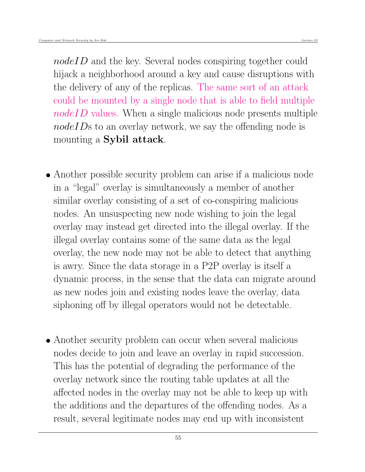nodeID and the key. Several nodes conspiring together could hijack a neighborhood around a key and cause disruptions with the delivery of any of the replicas. The same sort of an attack could be mounted by a single node that is able to field multiple nodeID values. When a single malicious node presents multiple nodeIDs to an overlay network, we say the offending node is mounting a Sybil attack.

- Another possible security problem can arise if a malicious node in a "legal" overlay is simultaneously a member of another similar overlay consisting of a set of co-conspiring malicious nodes. An unsuspecting new node wishing to join the legal overlay may instead get directed into the illegal overlay. If the illegal overlay contains some of the same data as the legal overlay, the new node may not be able to detect that anything is awry. Since the data storage in a P2P overlay is itself a dynamic process, in the sense that the data can migrate around as new nodes join and existing nodes leave the overlay, data siphoning off by illegal operators would not be detectable.
- Another security problem can occur when several malicious nodes decide to join and leave an overlay in rapid succession. This has the potential of degrading the performance of the overlay network since the routing table updates at all the affected nodes in the overlay may not be able to keep up with the additions and the departures of the offending nodes. As a result, several legitimate nodes may end up with inconsistent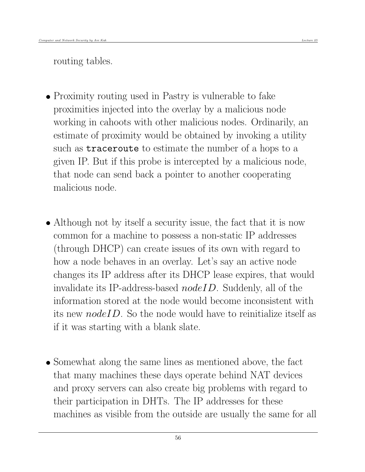routing tables.

• Proximity routing used in Pastry is vulnerable to fake proximities injected into the overlay by a malicious node working in cahoots with other malicious nodes. Ordinarily, an estimate of proximity would be obtained by invoking a utility such as traceroute to estimate the number of a hops to a given IP. But if this probe is intercepted by a malicious node, that node can send back a pointer to another cooperating malicious node.

- Although not by itself a security issue, the fact that it is now common for a machine to possess a non-static IP addresses (through DHCP) can create issues of its own with regard to how a node behaves in an overlay. Let's say an active node changes its IP address after its DHCP lease expires, that would invalidate its IP-address-based  $nodeID$ . Suddenly, all of the information stored at the node would become inconsistent with its new  $nodeID$ . So the node would have to reinitialize itself as if it was starting with a blank slate.
- Somewhat along the same lines as mentioned above, the fact that many machines these days operate behind NAT devices and proxy servers can also create big problems with regard to their participation in DHTs. The IP addresses for these machines as visible from the outside are usually the same for all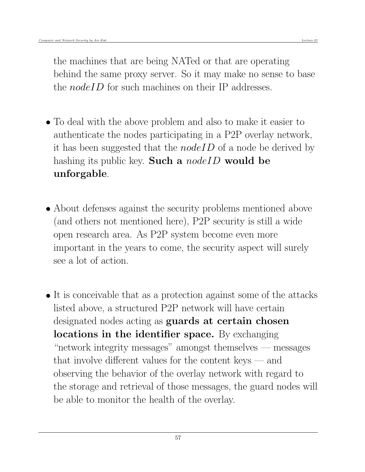the machines that are being NATed or that are operating behind the same proxy server. So it may make no sense to base the *nodeID* for such machines on their IP addresses.

- To deal with the above problem and also to make it easier to authenticate the nodes participating in a P2P overlay network, it has been suggested that the *nodeID* of a node be derived by hashing its public key. Such a *nodeID* would be unforgable.
- About defenses against the security problems mentioned above (and others not mentioned here), P2P security is still a wide open research area. As P2P system become even more important in the years to come, the security aspect will surely see a lot of action.
- It is conceivable that as a protection against some of the attacks listed above, a structured P2P network will have certain designated nodes acting as **guards at certain chosen** locations in the identifier space. By exchanging "network integrity messages" amongst themselves — messages that involve different values for the content keys  $-$  and observing the behavior of the overlay network with regard to the storage and retrieval of those messages, the guard nodes will be able to monitor the health of the overlay.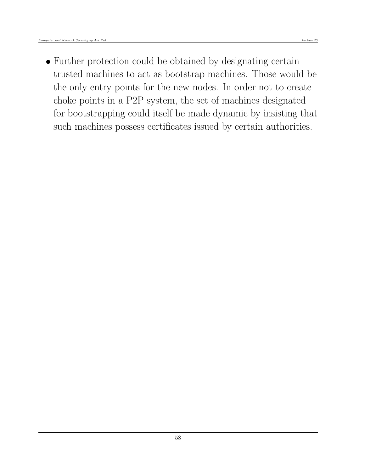• Further protection could be obtained by designating certain trusted machines to act as bootstrap machines. Those would be the only entry points for the new nodes. In order not to create choke points in a P2P system, the set of machines designated for bootstrapping could itself be made dynamic by insisting that such machines possess certificates issued by certain authorities.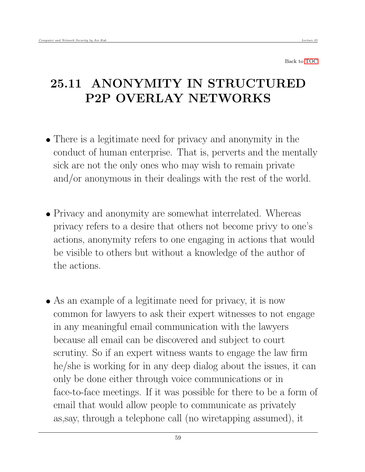## <span id="page-58-0"></span>25.11 ANONYMITY IN STRUCTURED P2P OVERLAY NETWORKS

- There is a legitimate need for privacy and anonymity in the conduct of human enterprise. That is, perverts and the mentally sick are not the only ones who may wish to remain private and/or anonymous in their dealings with the rest of the world.
- Privacy and anonymity are somewhat interrelated. Whereas privacy refers to a desire that others not become privy to one's actions, anonymity refers to one engaging in actions that would be visible to others but without a knowledge of the author of the actions.
- As an example of a legitimate need for privacy, it is now common for lawyers to ask their expert witnesses to not engage in any meaningful email communication with the lawyers because all email can be discovered and subject to court scrutiny. So if an expert witness wants to engage the law firm he/she is working for in any deep dialog about the issues, it can only be done either through voice communications or in face-to-face meetings. If it was possible for there to be a form of email that would allow people to communicate as privately as,say, through a telephone call (no wiretapping assumed), it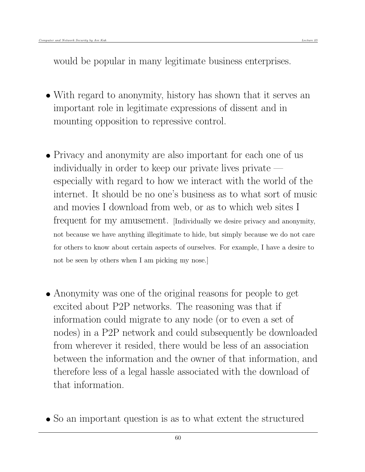would be popular in many legitimate business enterprises.

- With regard to anonymity, history has shown that it serves an important role in legitimate expressions of dissent and in mounting opposition to repressive control.
- Privacy and anonymity are also important for each one of us individually in order to keep our private lives private  $$ especially with regard to how we interact with the world of the internet. It should be no one's business as to what sort of music and movies I download from web, or as to which web sites I frequent for my amusement. [Individually we desire privacy and anonymity, not because we have anything illegitimate to hide, but simply because we do not care for others to know about certain aspects of ourselves. For example, I have a desire to not be seen by others when I am picking my nose.]
- Anonymity was one of the original reasons for people to get excited about P2P networks. The reasoning was that if information could migrate to any node (or to even a set of nodes) in a P2P network and could subsequently be downloaded from wherever it resided, there would be less of an association between the information and the owner of that information, and therefore less of a legal hassle associated with the download of that information.
- So an important question is as to what extent the structured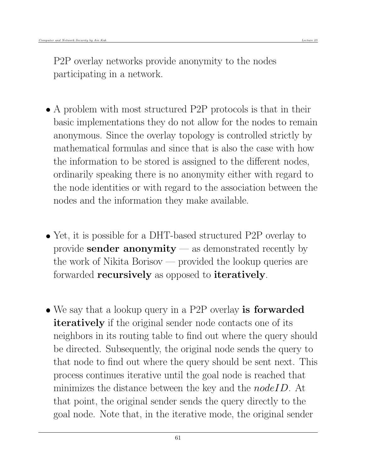P2P overlay networks provide anonymity to the nodes participating in a network.

- A problem with most structured P2P protocols is that in their basic implementations they do not allow for the nodes to remain anonymous. Since the overlay topology is controlled strictly by mathematical formulas and since that is also the case with how the information to be stored is assigned to the different nodes, ordinarily speaking there is no anonymity either with regard to the node identities or with regard to the association between the nodes and the information they make available.
- Yet, it is possible for a DHT-based structured P2P overlay to provide **sender anonymity** — as demonstrated recently by the work of Nikita Borisov — provided the lookup queries are forwarded recursively as opposed to iteratively.
- We say that a lookup query in a P2P overlay is forwarded **iteratively** if the original sender node contacts one of its neighbors in its routing table to find out where the query should be directed. Subsequently, the original node sends the query to that node to find out where the query should be sent next. This process continues iterative until the goal node is reached that minimizes the distance between the key and the *nodeID*. At that point, the original sender sends the query directly to the goal node. Note that, in the iterative mode, the original sender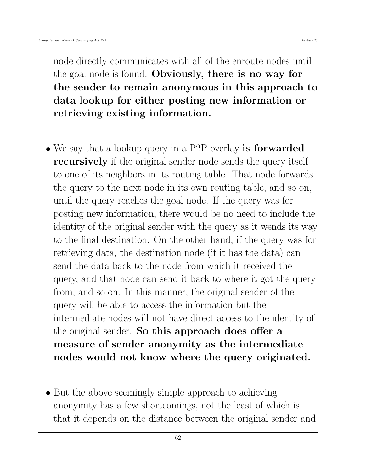node directly communicates with all of the enroute nodes until the goal node is found. Obviously, there is no way for the sender to remain anonymous in this approach to data lookup for either posting new information or retrieving existing information.

- We say that a lookup query in a P2P overlay is forwarded recursively if the original sender node sends the query itself to one of its neighbors in its routing table. That node forwards the query to the next node in its own routing table, and so on, until the query reaches the goal node. If the query was for posting new information, there would be no need to include the identity of the original sender with the query as it wends its way to the final destination. On the other hand, if the query was for retrieving data, the destination node (if it has the data) can send the data back to the node from which it received the query, and that node can send it back to where it got the query from, and so on. In this manner, the original sender of the query will be able to access the information but the intermediate nodes will not have direct access to the identity of the original sender. So this approach does offer a measure of sender anonymity as the intermediate nodes would not know where the query originated.
- But the above seemingly simple approach to achieving anonymity has a few shortcomings, not the least of which is that it depends on the distance between the original sender and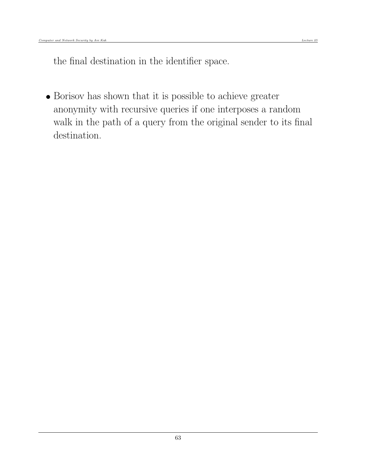the final destination in the identifier space.

 Borisov has shown that it is possible to achieve greater anonymity with recursive queries if one interposes a random walk in the path of a query from the original sender to its final destination.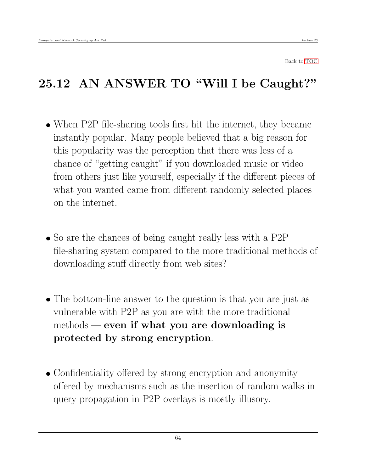# <span id="page-63-0"></span>25.12 AN ANSWER TO "Will I be Caught?"

- When P2P file-sharing tools first hit the internet, they became instantly popular. Many people believed that a big reason for this popularity was the perception that there was less of a chance of "getting caught" if you downloaded music or video from others just like yourself, especially if the different pieces of what you wanted came from different randomly selected places on the internet.
- So are the chances of being caught really less with a P2P file-sharing system compared to the more traditional methods of downloading stuff directly from web sites?
- The bottom-line answer to the question is that you are just as vulnerable with P2P as you are with the more traditional methods — even if what you are downloading is protected by strong encryption.
- Confidentiality offered by strong encryption and anonymity offered by mechanisms such as the insertion of random walks in query propagation in P2P overlays is mostly illusory.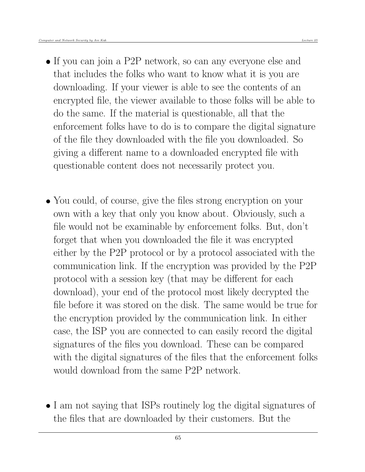- If you can join a P2P network, so can any everyone else and that includes the folks who want to know what it is you are downloading. If your viewer is able to see the contents of an encrypted file, the viewer available to those folks will be able to do the same. If the material is questionable, all that the enforcement folks have to do is to compare the digital signature of the file they downloaded with the file you downloaded. So giving a different name to a downloaded encrypted file with questionable content does not necessarily protect you.
- You could, of course, give the files strong encryption on your own with a key that only you know about. Obviously, such a file would not be examinable by enforcement folks. But, don't forget that when you downloaded the file it was encrypted either by the P2P protocol or by a protocol associated with the communication link. If the encryption was provided by the P2P protocol with a session key (that may be different for each download), your end of the protocol most likely decrypted the file before it was stored on the disk. The same would be true for the encryption provided by the communication link. In either case, the ISP you are connected to can easily record the digital signatures of the files you download. These can be compared with the digital signatures of the files that the enforcement folks would download from the same P2P network.
- I am not saying that ISPs routinely log the digital signatures of the files that are downloaded by their customers. But the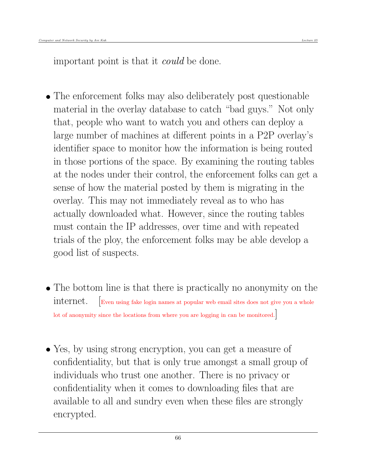- The enforcement folks may also deliberately post questionable material in the overlay database to catch "bad guys." Not only that, people who want to watch you and others can deploy a large number of machines at different points in a P2P overlay's identifier space to monitor how the information is being routed in those portions of the space. By examining the routing tables at the nodes under their control, the enforcement folks can get a sense of how the material posted by them is migrating in the overlay. This may not immediately reveal as to who has actually downloaded what. However, since the routing tables must contain the IP addresses, over time and with repeated trials of the ploy, the enforcement folks may be able develop a good list of suspects.
- The bottom line is that there is practically no anonymity on the internet. [Even using fake login names at popular web email sites does not give you a whole lot of anonymity since the locations from where you are logging in can be monitored.
- Yes, by using strong encryption, you can get a measure of confidentiality, but that is only true amongst a small group of individuals who trust one another. There is no privacy or confidentiality when it comes to downloading files that are available to all and sundry even when these files are strongly encrypted.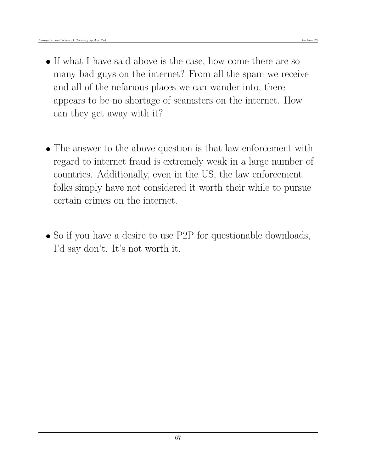- If what I have said above is the case, how come there are so many bad guys on the internet? From all the spam we receive and all of the nefarious places we can wander into, there appears to be no shortage of scamsters on the internet. How can they get away with it?
- The answer to the above question is that law enforcement with regard to internet fraud is extremely weak in a large number of countries. Additionally, even in the US, the law enforcement folks simply have not considered it worth their while to pursue certain crimes on the internet.
- So if you have a desire to use P2P for questionable downloads, I'd say don't. It's not worth it.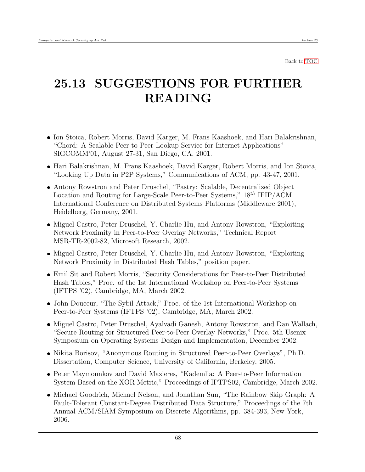## <span id="page-67-0"></span>25.13 SUGGESTIONS FOR FURTHER READING

- Ion Stoica, Robert Morris, David Karger, M. Frans Kaashoek, and Hari Balakrishnan, "Chord: A Scalable Peer-to-Peer Lookup Service for Internet Applications" SIGCOMM'01, August 27-31, San Diego, CA, 2001.
- Hari Balakrishnan, M. Frans Kaashoek, David Karger, Robert Morris, and Ion Stoica, "Looking Up Data in P2P Systems," Communications of ACM, pp. 43-47, 2001.
- Antony Rowstron and Peter Druschel, "Pastry: Scalable, Decentralized Object Location and Routing for Large-Scale Peer-to-Peer Systems,"  $18^{th}$  IFIP/ACM International Conference on Distributed Systems Platforms (Middleware 2001), Heidelberg, Germany, 2001.
- Miguel Castro, Peter Druschel, Y. Charlie Hu, and Antony Rowstron, "Exploiting" Network Proximity in Peer-to-Peer Overlay Networks," Technical Report MSR-TR-2002-82, Microsoft Research, 2002.
- Miguel Castro, Peter Druschel, Y. Charlie Hu, and Antony Rowstron, "Exploiting" Network Proximity in Distributed Hash Tables," position paper.
- Emil Sit and Robert Morris, "Security Considerations for Peer-to-Peer Distributed Hash Tables," Proc. of the 1st International Workshop on Peer-to-Peer Systems (IFTPS '02), Cambridge, MA, March 2002.
- John Douceur, "The Sybil Attack," Proc. of the 1st International Workshop on Peer-to-Peer Systems (IFTPS '02), Cambridge, MA, March 2002.
- Miguel Castro, Peter Druschel, Ayalvadi Ganesh, Antony Rowstron, and Dan Wallach, "Secure Routing for Structured Peer-to-Peer Overlay Networks," Proc. 5th Usenix Symposium on Operating Systems Design and Implementation, December 2002.
- Nikita Borisov, "Anonymous Routing in Structured Peer-to-Peer Overlays", Ph.D. Dissertation, Computer Science, University of California, Berkeley, 2005.
- Peter Maymounkov and David Mazieres, "Kademlia: A Peer-to-Peer Information System Based on the XOR Metric," Proceedings of IPTPS02, Cambridge, March 2002.
- Michael Goodrich, Michael Nelson, and Jonathan Sun, "The Rainbow Skip Graph: A Fault-Tolerant Constant-Degree Distributed Data Structure," Proceedings of the 7th Annual ACM/SIAM Symposium on Discrete Algorithms, pp. 384-393, New York, 2006.